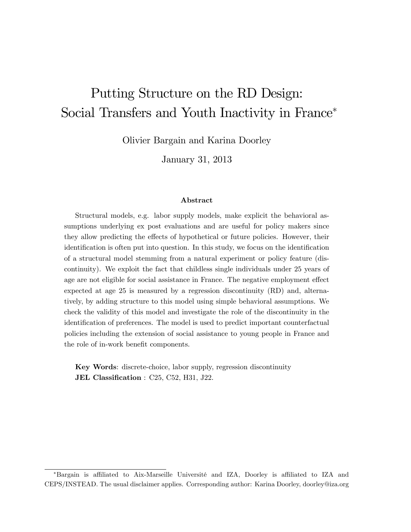# Putting Structure on the RD Design: Social Transfers and Youth Inactivity in France<sup>\*</sup>

Olivier Bargain and Karina Doorley

January 31, 2013

#### Abstract

Structural models, e.g. labor supply models, make explicit the behavioral assumptions underlying ex post evaluations and are useful for policy makers since they allow predicting the effects of hypothetical or future policies. However, their identification is often put into question. In this study, we focus on the identification of a structural model stemming from a natural experiment or policy feature (discontinuity). We exploit the fact that childless single individuals under 25 years of age are not eligible for social assistance in France. The negative employment effect expected at age 25 is measured by a regression discontinuity (RD) and, alternatively, by adding structure to this model using simple behavioral assumptions. We check the validity of this model and investigate the role of the discontinuity in the identification of preferences. The model is used to predict important counterfactual policies including the extension of social assistance to young people in France and the role of in-work benefit components.

Key Words: discrete-choice, labor supply, regression discontinuity JEL Classification :  $C25$ ,  $C52$ ,  $H31$ , J22.

<sup>\*</sup>Bargain is affiliated to Aix-Marseille Université and IZA, Doorley is affiliated to IZA and CEPS/INSTEAD. The usual disclaimer applies. Corresponding author: Karina Doorley, doorley@iza.org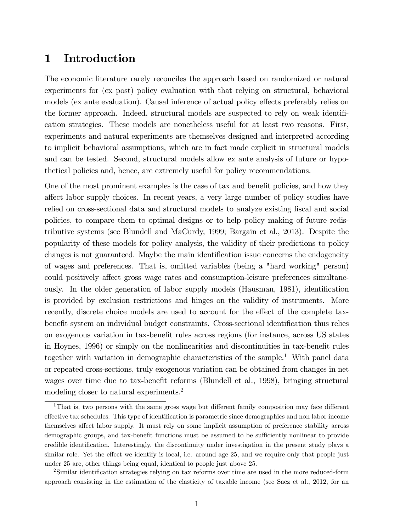### 1 Introduction

The economic literature rarely reconciles the approach based on randomized or natural experiments for (ex post) policy evaluation with that relying on structural, behavioral models (ex ante evaluation). Causal inference of actual policy effects preferably relies on the former approach. Indeed, structural models are suspected to rely on weak identification strategies. These models are nonetheless useful for at least two reasons. First, experiments and natural experiments are themselves designed and interpreted according to implicit behavioral assumptions, which are in fact made explicit in structural models and can be tested. Second, structural models allow ex ante analysis of future or hypothetical policies and, hence, are extremely useful for policy recommendations.

One of the most prominent examples is the case of tax and benefit policies, and how they affect labor supply choices. In recent years, a very large number of policy studies have relied on cross-sectional data and structural models to analyze existing fiscal and social policies, to compare them to optimal designs or to help policy making of future redistributive systems (see Blundell and MaCurdy, 1999; Bargain et al., 2013). Despite the popularity of these models for policy analysis, the validity of their predictions to policy changes is not guaranteed. Maybe the main identification issue concerns the endogeneity of wages and preferences. That is, omitted variables (being a "hard working" person) could positively affect gross wage rates and consumption-leisure preferences simultaneously. In the older generation of labor supply models (Hausman, 1981), identification is provided by exclusion restrictions and hinges on the validity of instruments. More recently, discrete choice models are used to account for the effect of the complete taxbenefit system on individual budget constraints. Cross-sectional identification thus relies on exogenous variation in tax-benefit rules across regions (for instance, across US states in Hoynes, 1996) or simply on the nonlinearities and discontinuities in tax-benefit rules together with variation in demographic characteristics of the sample.<sup>1</sup> With panel data or repeated cross-sections, truly exogenous variation can be obtained from changes in net wages over time due to tax-benefit reforms (Blundell et al., 1998), bringing structural modeling closer to natural experiments.<sup>2</sup>

 $1$ That is, two persons with the same gross wage but different family composition may face different effective tax schedules. This type of identification is parametric since demographics and non labor income themselves affect labor supply. It must rely on some implicit assumption of preference stability across demographic groups, and tax-benefit functions must be assumed to be sufficiently nonlinear to provide credible identification. Interestingly, the discontinuity under investigation in the present study plays a similar role. Yet the effect we identify is local, i.e. around age 25, and we require only that people just under 25 are, other things being equal, identical to people just above 25.

<sup>&</sup>lt;sup>2</sup>Similar identification strategies relying on tax reforms over time are used in the more reduced-form approach consisting in the estimation of the elasticity of taxable income (see Saez et al., 2012, for an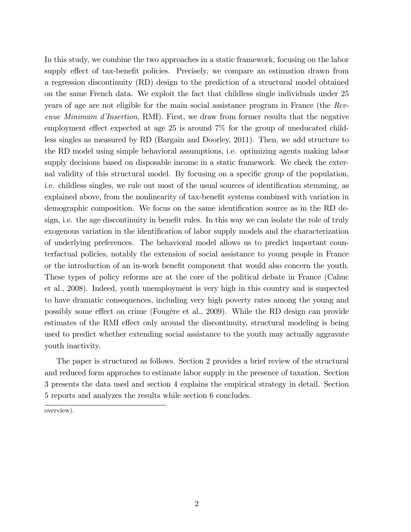In this study, we combine the two approaches in a static framework, focusing on the labor supply effect of tax-benefit policies. Precisely, we compare an estimation drawn from a regression discontinuity (RD) design to the prediction of a structural model obtained on the same French data. We exploit the fact that childless single individuals under 25 years of age are not eligible for the main social assistance program in France (the Revenue Minimum d'Insertion, RMI). First, we draw from former results that the negative employment effect expected at age 25 is around  $7\%$  for the group of uneducated childless singles as measured by RD (Bargain and Doorley, 2011). Then, we add structure to the RD model using simple behavioral assumptions, i.e. optimizing agents making labor supply decisions based on disposable income in a static framework. We check the external validity of this structural model. By focusing on a specific group of the population, i.e. childless singles, we rule out most of the usual sources of identification stemming, as explained above, from the nonlinearity of tax-benefit systems combined with variation in demographic composition. We focus on the same identification source as in the RD design, i.e. the age discontinuity in benefit rules. In this way we can isolate the role of truly exogenous variation in the identification of labor supply models and the characterization of underlying preferences. The behavioral model allows us to predict important counterfactual policies, notably the extension of social assistance to young people in France or the introduction of an in-work benefit component that would also concern the youth. These types of policy reforms are at the core of the political debate in France (Cahuc et al., 2008). Indeed, youth unemployment is very high in this country and is suspected to have dramatic consequences, including very high poverty rates among the young and possibly some effect on crime (Fougère et al., 2009). While the RD design can provide estimates of the RMI effect only around the discontinuity, structural modeling is being used to predict whether extending social assistance to the youth may actually aggravate youth inactivity.

The paper is structured as follows. Section 2 provides a brief review of the structural and reduced form approches to estimate labor supply in the presence of taxation. Section 3 presents the data used and section 4 explains the empirical strategy in detail. Section 5 reports and analyzes the results while section 6 concludes.

overview).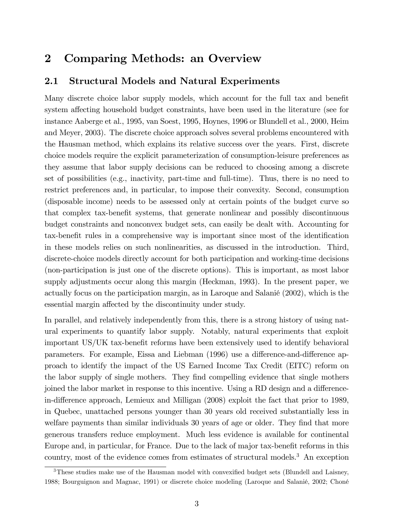### 2 Comparing Methods: an Overview

#### 2.1 Structural Models and Natural Experiments

Many discrete choice labor supply models, which account for the full tax and benefit system affecting household budget constraints, have been used in the literature (see for instance Aaberge et al., 1995, van Soest, 1995, Hoynes, 1996 or Blundell et al., 2000, Heim and Meyer, 2003). The discrete choice approach solves several problems encountered with the Hausman method, which explains its relative success over the years. First, discrete choice models require the explicit parameterization of consumption-leisure preferences as they assume that labor supply decisions can be reduced to choosing among a discrete set of possibilities (e.g., inactivity, part-time and full-time). Thus, there is no need to restrict preferences and, in particular, to impose their convexity. Second, consumption (disposable income) needs to be assessed only at certain points of the budget curve so that complex tax-benefit systems, that generate nonlinear and possibly discontinuous budget constraints and nonconvex budget sets, can easily be dealt with. Accounting for tax-benefit rules in a comprehensive way is important since most of the identification in these models relies on such nonlinearities, as discussed in the introduction. Third, discrete-choice models directly account for both participation and working-time decisions (non-participation is just one of the discrete options). This is important, as most labor supply adjustments occur along this margin (Heckman, 1993). In the present paper, we actually focus on the participation margin, as in Laroque and Salanié (2002), which is the essential margin affected by the discontinuity under study.

In parallel, and relatively independently from this, there is a strong history of using natural experiments to quantify labor supply. Notably, natural experiments that exploit important US/UK tax-benefit reforms have been extensively used to identify behavioral parameters. For example, Eissa and Liebman (1996) use a difference-and-difference approach to identify the impact of the US Earned Income Tax Credit (EITC) reform on the labor supply of single mothers. They find compelling evidence that single mothers joined the labor market in response to this incentive. Using a RD design and a differencein-difference approach, Lemieux and Milligan (2008) exploit the fact that prior to 1989, in Quebec, unattached persons younger than 30 years old received substantially less in welfare payments than similar individuals 30 years of age or older. They find that more generous transfers reduce employment. Much less evidence is available for continental Europe and, in particular, for France. Due to the lack of major tax-benefit reforms in this country, most of the evidence comes from estimates of structural models.<sup>3</sup> An exception

 $3$ These studies make use of the Hausman model with convexified budget sets (Blundell and Laisney, 1988; Bourguignon and Magnac, 1991) or discrete choice modeling (Laroque and Salanié, 2002; Choné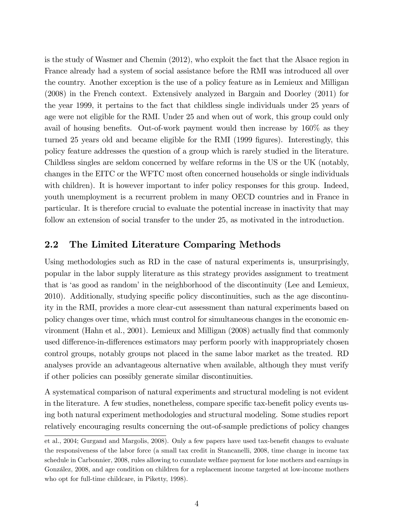is the study of Wasmer and Chemin (2012), who exploit the fact that the Alsace region in France already had a system of social assistance before the RMI was introduced all over the country. Another exception is the use of a policy feature as in Lemieux and Milligan (2008) in the French context. Extensively analyzed in Bargain and Doorley (2011) for the year 1999, it pertains to the fact that childless single individuals under 25 years of age were not eligible for the RMI. Under 25 and when out of work, this group could only avail of housing benefits. Out-of-work payment would then increase by  $160\%$  as they turned 25 years old and became eligible for the RMI (1999 figures). Interestingly, this policy feature addresses the question of a group which is rarely studied in the literature. Childless singles are seldom concerned by welfare reforms in the US or the UK (notably, changes in the EITC or the WFTC most often concerned households or single individuals with children). It is however important to infer policy responses for this group. Indeed, youth unemployment is a recurrent problem in many OECD countries and in France in particular. It is therefore crucial to evaluate the potential increase in inactivity that may follow an extension of social transfer to the under 25, as motivated in the introduction.

### 2.2 The Limited Literature Comparing Methods

Using methodologies such as RD in the case of natural experiments is, unsurprisingly, popular in the labor supply literature as this strategy provides assignment to treatment that is 'as good as random' in the neighborhood of the discontinuity (Lee and Lemieux, 2010). Additionally, studying specific policy discontinuities, such as the age discontinuity in the RMI, provides a more clear-cut assessment than natural experiments based on policy changes over time, which must control for simultaneous changes in the economic environment (Hahn et al., 2001). Lemieux and Milligan (2008) actually find that commonly used difference-in-differences estimators may perform poorly with inappropriately chosen control groups, notably groups not placed in the same labor market as the treated. RD analyses provide an advantageous alternative when available, although they must verify if other policies can possibly generate similar discontinuities.

A systematical comparison of natural experiments and structural modeling is not evident in the literature. A few studies, nonetheless, compare specific tax-benefit policy events using both natural experiment methodologies and structural modeling. Some studies report relatively encouraging results concerning the out-of-sample predictions of policy changes

et al., 2004; Gurgand and Margolis, 2008). Only a few papers have used tax-benefit changes to evaluate the responsiveness of the labor force (a small tax credit in Stancanelli, 2008, time change in income tax schedule in Carbonnier, 2008, rules allowing to cumulate welfare payment for lone mothers and earnings in González, 2008, and age condition on children for a replacement income targeted at low-income mothers who opt for full-time childcare, in Piketty, 1998).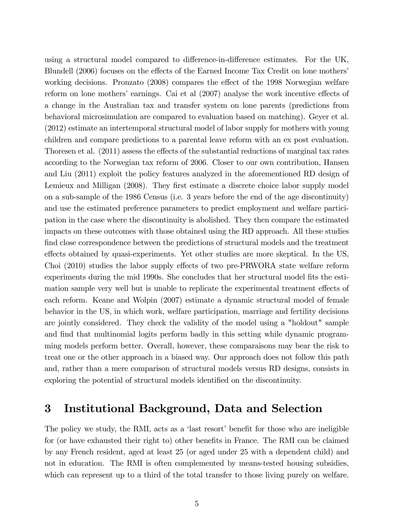using a structural model compared to difference-in-difference estimates. For the UK, Blundell (2006) focuses on the effects of the Earned Income Tax Credit on lone mothers working decisions. Pronzato  $(2008)$  compares the effect of the 1998 Norwegian welfare reform on lone mothers' earnings. Cai et al  $(2007)$  analyse the work incentive effects of a change in the Australian tax and transfer system on lone parents (predictions from behavioral microsimulation are compared to evaluation based on matching). Geyer et al. (2012) estimate an intertemporal structural model of labor supply for mothers with young children and compare predictions to a parental leave reform with an ex post evaluation. Thoresen et al.  $(2011)$  assess the effects of the substantial reductions of marginal tax rates according to the Norwegian tax reform of 2006. Closer to our own contribution, Hansen and Liu (2011) exploit the policy features analyzed in the aforementioned RD design of Lemieux and Milligan (2008). They first estimate a discrete choice labor supply model on a sub-sample of the 1986 Census (i.e. 3 years before the end of the age discontinuity) and use the estimated preference parameters to predict employment and welfare participation in the case where the discontinuity is abolished. They then compare the estimated impacts on these outcomes with those obtained using the RD approach. All these studies find close correspondence between the predictions of structural models and the treatment effects obtained by quasi-experiments. Yet other studies are more skeptical. In the US, Choi (2010) studies the labor supply effects of two pre-PRWORA state welfare reform experiments during the mid 1990s. She concludes that her structural model fits the estimation sample very well but is unable to replicate the experimental treatment effects of each reform. Keane and Wolpin (2007) estimate a dynamic structural model of female behavior in the US, in which work, welfare participation, marriage and fertility decisions are jointly considered. They check the validity of the model using a "holdout" sample and find that multinomial logits perform badly in this setting while dynamic programming models perform better. Overall, however, these comparaisons may bear the risk to treat one or the other approach in a biased way. Our approach does not follow this path and, rather than a mere comparison of structural models versus RD designs, consists in exploring the potential of structural models identified on the discontinuity.

### 3 Institutional Background, Data and Selection

The policy we study, the RMI, acts as a 'last resort' benefit for those who are ineligible for (or have exhausted their right to) other benefits in France. The RMI can be claimed by any French resident, aged at least 25 (or aged under 25 with a dependent child) and not in education. The RMI is often complemented by means-tested housing subsidies, which can represent up to a third of the total transfer to those living purely on welfare.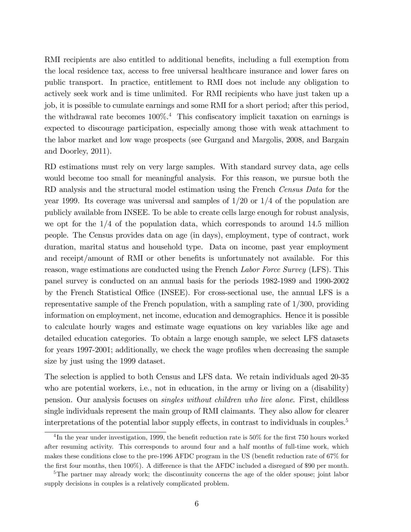RMI recipients are also entitled to additional benefits, including a full exemption from the local residence tax, access to free universal healthcare insurance and lower fares on public transport. In practice, entitlement to RMI does not include any obligation to actively seek work and is time unlimited. For RMI recipients who have just taken up a job, it is possible to cumulate earnings and some RMI for a short period; after this period, the withdrawal rate becomes  $100\%$ <sup>4</sup>. This confiscatory implicit taxation on earnings is expected to discourage participation, especially among those with weak attachment to the labor market and low wage prospects (see Gurgand and Margolis, 2008, and Bargain and Doorley, 2011).

RD estimations must rely on very large samples. With standard survey data, age cells would become too small for meaningful analysis. For this reason, we pursue both the RD analysis and the structural model estimation using the French Census Data for the year 1999. Its coverage was universal and samples of  $1/20$  or  $1/4$  of the population are publicly available from INSEE. To be able to create cells large enough for robust analysis, we opt for the  $1/4$  of the population data, which corresponds to around 14.5 million people. The Census provides data on age (in days), employment, type of contract, work duration, marital status and household type. Data on income, past year employment and receipt/amount of RMI or other benefits is unfortunately not available. For this reason, wage estimations are conducted using the French Labor Force Survey (LFS). This panel survey is conducted on an annual basis for the periods 1982-1989 and 1990-2002 by the French Statistical Office (INSEE). For cross-sectional use, the annual LFS is a representative sample of the French population, with a sampling rate of  $1/300$ , providing information on employment, net income, education and demographics. Hence it is possible to calculate hourly wages and estimate wage equations on key variables like age and detailed education categories. To obtain a large enough sample, we select LFS datasets for years 1997-2001; additionally, we check the wage profiles when decreasing the sample size by just using the 1999 dataset.

The selection is applied to both Census and LFS data. We retain individuals aged 20-35 who are potential workers, i.e., not in education, in the army or living on a (disability) pension. Our analysis focuses on singles without children who live alone. First, childless single individuals represent the main group of RMI claimants. They also allow for clearer interpretations of the potential labor supply effects, in contrast to individuals in couples. $5$ 

<sup>&</sup>lt;sup>4</sup>In the year under investigation, 1999, the benefit reduction rate is  $50\%$  for the first 750 hours worked after resuming activity. This corresponds to around four and a half months of full-time work, which makes these conditions close to the pre-1996 AFDC program in the US (benefit reduction rate of 67% for the first four months, then  $100\%$ ). A difference is that the AFDC included a disregard of \$90 per month.

<sup>&</sup>lt;sup>5</sup>The partner may already work; the discontinuity concerns the age of the older spouse; joint labor supply decisions in couples is a relatively complicated problem.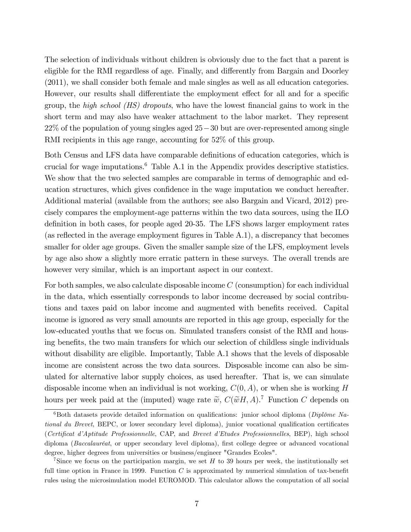The selection of individuals without children is obviously due to the fact that a parent is eligible for the RMI regardless of age. Finally, and differently from Bargain and Doorley (2011), we shall consider both female and male singles as well as all education categories. However, our results shall differentiate the employment effect for all and for a specific group, the *high school*  $(HS)$  dropouts, who have the lowest financial gains to work in the short term and may also have weaker attachment to the labor market. They represent  $22\%$  of the population of young singles aged  $25-30$  but are over-represented among single RMI recipients in this age range, accounting for 52\% of this group.

Both Census and LFS data have comparable definitions of education categories, which is crucial for wage imputations.<sup>6</sup> Table A.1 in the Appendix provides descriptive statistics. We show that the two selected samples are comparable in terms of demographic and education structures, which gives confidence in the wage imputation we conduct hereafter. Additional material (available from the authors; see also Bargain and Vicard, 2012) precisely compares the employment-age patterns within the two data sources, using the ILO definition in both cases, for people aged 20-35. The LFS shows larger employment rates (as reflected in the average employment figures in Table  $A.1$ ), a discrepancy that becomes smaller for older age groups. Given the smaller sample size of the LFS, employment levels by age also show a slightly more erratic pattern in these surveys. The overall trends are however very similar, which is an important aspect in our context.

For both samples, we also calculate disposable income C (consumption) for each individual in the data, which essentially corresponds to labor income decreased by social contributions and taxes paid on labor income and augmented with benefits received. Capital income is ignored as very small amounts are reported in this age group, especially for the low-educated youths that we focus on. Simulated transfers consist of the RMI and housing benefits, the two main transfers for which our selection of childless single individuals without disability are eligible. Importantly, Table A.1 shows that the levels of disposable income are consistent across the two data sources. Disposable income can also be simulated for alternative labor supply choices, as used hereafter. That is, we can simulate disposable income when an individual is not working,  $C(0, A)$ , or when she is working H hours per week paid at the (imputed) wage rate  $\tilde{w}$ ,  $C(\tilde{w}H, A)$ .<sup>7</sup> Function C depends on

 $6B$ oth datasets provide detailed information on qualifications: junior school diploma (Diplôme National du Brevet, BEPC, or lower secondary level diploma), junior vocational qualification certificates (Certificat d'Aptitude Professionnelle, CAP, and Brevet d'Etudes Professionnelles, BEP), high school diploma (Baccalauréat, or upper secondary level diploma), first college degree or advanced vocational degree, higher degrees from universities or business/engineer "Grandes Ecoles".

<sup>&</sup>lt;sup>7</sup>Since we focus on the participation margin, we set  $H$  to 39 hours per week, the institutionally set full time option in France in 1999. Function  $C$  is approximated by numerical simulation of tax-benefit rules using the microsimulation model EUROMOD. This calculator allows the computation of all social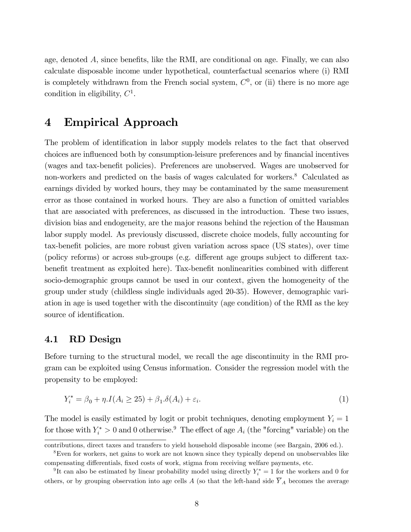age, denoted  $A$ , since benefits, like the RMI, are conditional on age. Finally, we can also calculate disposable income under hypothetical, counterfactual scenarios where (i) RMI is completely withdrawn from the French social system,  $C<sup>0</sup>$ , or (ii) there is no more age condition in eligibility,  $C^1$ .

### 4 Empirical Approach

The problem of identification in labor supply models relates to the fact that observed choices are influenced both by consumption-leisure preferences and by financial incentives (wages and tax-benefit policies). Preferences are unobserved. Wages are unobserved for non-workers and predicted on the basis of wages calculated for workers.<sup>8</sup> Calculated as earnings divided by worked hours, they may be contaminated by the same measurement error as those contained in worked hours. They are also a function of omitted variables that are associated with preferences, as discussed in the introduction. These two issues, division bias and endogeneity, are the major reasons behind the rejection of the Hausman labor supply model. As previously discussed, discrete choice models, fully accounting for tax-benefit policies, are more robust given variation across space (US states), over time (policy reforms) or across sub-groups (e.g. different age groups subject to different taxbenefit treatment as exploited here). Tax-benefit nonlinearities combined with different socio-demographic groups cannot be used in our context, given the homogeneity of the group under study (childless single individuals aged 20-35). However, demographic variation in age is used together with the discontinuity (age condition) of the RMI as the key source of identification.

#### 4.1 RD Design

Before turning to the structural model, we recall the age discontinuity in the RMI program can be exploited using Census information. Consider the regression model with the propensity to be employed:

$$
Y_i^* = \beta_0 + \eta \cdot I(A_i \ge 25) + \beta_1 \cdot \delta(A_i) + \varepsilon_i. \tag{1}
$$

The model is easily estimated by logit or probit techniques, denoting employment  $Y_i = 1$ for those with  $Y_i^* > 0$  and 0 otherwise.<sup>9</sup> The effect of age  $A_i$  (the "forcing" variable) on the

contributions, direct taxes and transfers to yield household disposable income (see Bargain, 2006 ed.).

<sup>8</sup>Even for workers, net gains to work are not known since they typically depend on unobservables like compensating differentials, fixed costs of work, stigma from receiving welfare payments, etc.

<sup>&</sup>lt;sup>9</sup>It can also be estimated by linear probability model using directly  $Y_i^* = 1$  for the workers and 0 for others, or by grouping observation into age cells A (so that the left-hand side  $\overline{Y}_A$  becomes the average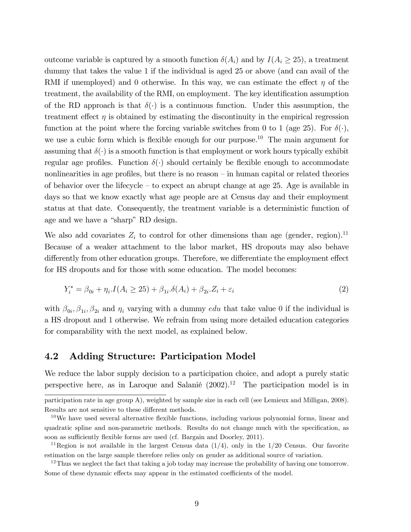outcome variable is captured by a smooth function  $\delta(A_i)$  and by  $I(A_i \geq 25)$ , a treatment dummy that takes the value 1 if the individual is aged 25 or above (and can avail of the RMI if unemployed) and 0 otherwise. In this way, we can estimate the effect  $\eta$  of the treatment, the availability of the RMI, on employment. The key identification assumption of the RD approach is that  $\delta(\cdot)$  is a continuous function. Under this assumption, the treatment effect  $\eta$  is obtained by estimating the discontinuity in the empirical regression function at the point where the forcing variable switches from 0 to 1 (age 25). For  $\delta(\cdot)$ , we use a cubic form which is flexible enough for our purpose.<sup>10</sup> The main argument for assuming that  $\delta(\cdot)$  is a smooth function is that employment or work hours typically exhibit regular age profiles. Function  $\delta(\cdot)$  should certainly be flexible enough to accommodate nonlinearities in age profiles, but there is no reason  $-\text{in}$  human capital or related theories of behavior over the lifecycle  $-$  to expect an abrupt change at age 25. Age is available in days so that we know exactly what age people are at Census day and their employment status at that date. Consequently, the treatment variable is a deterministic function of age and we have a "sharp" RD design.

We also add covariates  $Z_i$  to control for other dimensions than age (gender, region).<sup>11</sup> Because of a weaker attachment to the labor market, HS dropouts may also behave differently from other education groups. Therefore, we differentiate the employment effect for HS dropouts and for those with some education. The model becomes:

$$
Y_i^* = \beta_{0i} + \eta_i I(A_i \ge 25) + \beta_{1i} . \delta(A_i) + \beta_{2i} . Z_i + \varepsilon_i
$$
\n(2)

with  $\beta_{0i}, \beta_{1i}, \beta_{2i}$  and  $\eta_i$  varying with a dummy *edu* that take value 0 if the individual is a HS dropout and 1 otherwise. We refrain from using more detailed education categories for comparability with the next model, as explained below.

#### 4.2 Adding Structure: Participation Model

We reduce the labor supply decision to a participation choice, and adopt a purely static perspective here, as in Laroque and Salanié  $(2002).<sup>12</sup>$  The participation model is in

participation rate in age group A), weighted by sample size in each cell (see Lemieux and Milligan, 2008). Results are not sensitive to these different methods.

 $10$ We have used several alternative flexible functions, including various polynomial forms, linear and quadratic spline and non-parametric methods. Results do not change much with the specification, as soon as sufficiently flexible forms are used (cf. Bargain and Doorley, 2011).

<sup>&</sup>lt;sup>11</sup>Region is not available in the largest Census data  $(1/4)$ , only in the  $1/20$  Census. Our favorite estimation on the large sample therefore relies only on gender as additional source of variation.

 $12$ Thus we neglect the fact that taking a job today may increase the probability of having one tomorrow. Some of these dynamic effects may appear in the estimated coefficients of the model.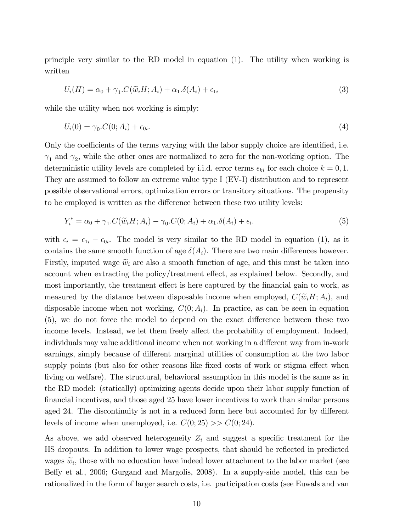principle very similar to the RD model in equation (1). The utility when working is written

$$
U_i(H) = \alpha_0 + \gamma_1.C(\widetilde{w}_i H; A_i) + \alpha_1.\delta(A_i) + \epsilon_{1i}
$$
\n(3)

while the utility when not working is simply:

$$
U_i(0) = \gamma_0 \cdot C(0; A_i) + \epsilon_{0i}.\tag{4}
$$

Only the coefficients of the terms varying with the labor supply choice are identified, i.e.  $\gamma_1$  and  $\gamma_2$ , while the other ones are normalized to zero for the non-working option. The deterministic utility levels are completed by i.i.d. error terms  $\epsilon_{ki}$  for each choice  $k = 0, 1$ . They are assumed to follow an extreme value type I (EV-I) distribution and to represent possible observational errors, optimization errors or transitory situations. The propensity to be employed is written as the difference between these two utility levels:

$$
Y_i^* = \alpha_0 + \gamma_1 \cdot C(\widetilde{w}_i H; A_i) - \gamma_0 \cdot C(0; A_i) + \alpha_1 \cdot \delta(A_i) + \epsilon_i.
$$
\n
$$
\tag{5}
$$

with  $\epsilon_i = \epsilon_{1i} - \epsilon_{0i}$ . The model is very similar to the RD model in equation (1), as it contains the same smooth function of age  $\delta(A_i)$ . There are two main differences however. Firstly, imputed wage  $\widetilde{w}_i$  are also a smooth function of age, and this must be taken into account when extracting the policy/treatment effect, as explained below. Secondly, and most importantly, the treatment effect is here captured by the financial gain to work, as measured by the distance between disposable income when employed,  $C(\widetilde{w}_iH; A_i)$ , and disposable income when not working,  $C(0; A<sub>i</sub>)$ . In practice, as can be seen in equation  $(5)$ , we do not force the model to depend on the exact difference between these two income levels. Instead, we let them freely affect the probability of employment. Indeed, individuals may value additional income when not working in a different way from in-work earnings, simply because of different marginal utilities of consumption at the two labor supply points (but also for other reasons like fixed costs of work or stigma effect when living on welfare). The structural, behavioral assumption in this model is the same as in the RD model: (statically) optimizing agents decide upon their labor supply function of Önancial incentives, and those aged 25 have lower incentives to work than similar persons aged 24. The discontinuity is not in a reduced form here but accounted for by different levels of income when unemployed, i.e.  $C(0; 25) >> C(0; 24)$ .

As above, we add observed heterogeneity  $Z_i$  and suggest a specific treatment for the HS dropouts. In addition to lower wage prospects, that should be reflected in predicted wages  $\widetilde{w}_i$ , those with no education have indeed lower attachment to the labor market (see Beffy et al., 2006; Gurgand and Margolis, 2008). In a supply-side model, this can be rationalized in the form of larger search costs, i.e. participation costs (see Euwals and van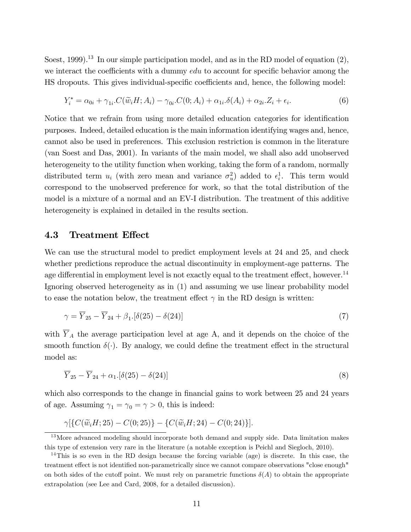Soest, 1999).<sup>13</sup> In our simple participation model, and as in the RD model of equation  $(2)$ , we interact the coefficients with a dummy  $edu$  to account for specific behavior among the HS dropouts. This gives individual-specific coefficients and, hence, the following model:

$$
Y_i^* = \alpha_{0i} + \gamma_{1i} \cdot C(\widetilde{w}_i H; A_i) - \gamma_{0i} \cdot C(0; A_i) + \alpha_{1i} \cdot \delta(A_i) + \alpha_{2i} \cdot Z_i + \epsilon_i.
$$
 (6)

Notice that we refrain from using more detailed education categories for identification purposes. Indeed, detailed education is the main information identifying wages and, hence, cannot also be used in preferences. This exclusion restriction is common in the literature (van Soest and Das, 2001). In variants of the main model, we shall also add unobserved heterogeneity to the utility function when working, taking the form of a random, normally distributed term  $u_i$  (with zero mean and variance  $\sigma_u^2$ ) added to  $\epsilon_i^1$ . This term would correspond to the unobserved preference for work, so that the total distribution of the model is a mixture of a normal and an EV-I distribution. The treatment of this additive heterogeneity is explained in detailed in the results section.

#### 4.3 Treatment Effect

We can use the structural model to predict employment levels at 24 and 25, and check whether predictions reproduce the actual discontinuity in employment-age patterns. The age differential in employment level is not exactly equal to the treatment effect, however.<sup>14</sup> Ignoring observed heterogeneity as in (1) and assuming we use linear probability model to ease the notation below, the treatment effect  $\gamma$  in the RD design is written:

$$
\gamma = \overline{Y}_{25} - \overline{Y}_{24} + \beta_1 \left[ \delta(25) - \delta(24) \right] \tag{7}
$$

with  $\overline{Y}_A$  the average participation level at age A, and it depends on the choice of the smooth function  $\delta(\cdot)$ . By analogy, we could define the treatment effect in the structural model as:

$$
\overline{Y}_{25} - \overline{Y}_{24} + \alpha_1 \left[ \delta(25) - \delta(24) \right] \tag{8}
$$

which also corresponds to the change in financial gains to work between 25 and 24 years of age. Assuming  $\gamma_1 = \gamma_0 = \gamma > 0$ , this is indeed:

$$
\gamma \left[ \{ C(\widetilde{w}_i H; 25) - C(0; 25) \} - \{ C(\widetilde{w}_i H; 24) - C(0; 24) \} \right].
$$

<sup>&</sup>lt;sup>13</sup>More advanced modeling should incorporate both demand and supply side. Data limitation makes this type of extension very rare in the literature (a notable exception is Peichl and Siegloch, 2010).

<sup>14</sup>This is so even in the RD design because the forcing variable (age) is discrete. In this case, the treatment effect is not identified non-parametrically since we cannot compare observations "close enough" on both sides of the cutoff point. We must rely on parametric functions  $\delta(A)$  to obtain the appropriate extrapolation (see Lee and Card, 2008, for a detailed discussion).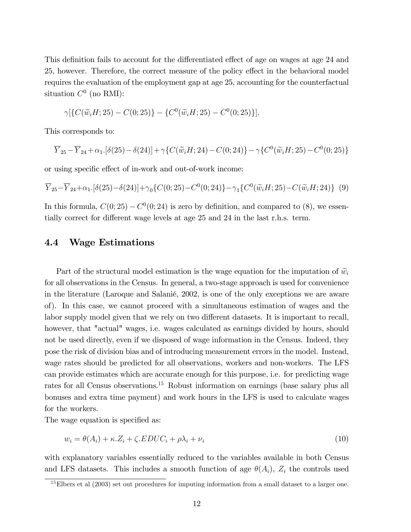This definition fails to account for the differentiated effect of age on wages at age 24 and 25, however. Therefore, the correct measure of the policy effect in the behavioral model requires the evaluation of the employment gap at age 25, accounting for the counterfactual situation  $C^0$  (no RMI):

$$
\gamma \left[ \{ C(\widetilde{w}_i H; 25) - C(0; 25) \} - \{ C^0(\widetilde{w}_i H; 25) - C^0(0; 25) \} \right].
$$

This corresponds to:

$$
\overline{Y}_{25} - \overline{Y}_{24} + \alpha_1 \cdot [\delta(25) - \delta(24)] + \gamma \{ C(\tilde{w}_i H; 24) - C(0; 24) \} - \gamma \{ C^0(\tilde{w}_i H; 25) - C^0(0; 25) \}
$$

or using specific effect of in-work and out-of-work income:

$$
\overline{Y}_{25} - \overline{Y}_{24} + \alpha_1 \cdot [\delta(25) - \delta(24)] + \gamma_0 \{ C(0; 25) - C^0(0; 24) \} - \gamma_1 \{ C^0(\widetilde{w}_i H; 25) - C(\widetilde{w}_i H; 24) \} (9)
$$

In this formula,  $C(0, 25) - C^{0}(0, 24)$  is zero by definition, and compared to (8), we essentially correct for different wage levels at age  $25$  and  $24$  in the last r.h.s. term.

#### 4.4 Wage Estimations

Part of the structural model estimation is the wage equation for the imputation of  $\tilde{w}_i$ for all observations in the Census. In general, a two-stage approach is used for convenience in the literature (Laroque and Salanié, 2002, is one of the only exceptions we are aware of). In this case, we cannot proceed with a simultaneous estimation of wages and the labor supply model given that we rely on two different datasets. It is important to recall, however, that "actual" wages, i.e. wages calculated as earnings divided by hours, should not be used directly, even if we disposed of wage information in the Census. Indeed, they pose the risk of division bias and of introducing measurement errors in the model. Instead, wage rates should be predicted for all observations, workers and non-workers. The LFS can provide estimates which are accurate enough for this purpose, i.e. for predicting wage rates for all Census observations.<sup>15</sup> Robust information on earnings (base salary plus all bonuses and extra time payment) and work hours in the LFS is used to calculate wages for the workers.

The wage equation is specified as:

$$
w_i = \theta(A_i) + \kappa \cdot Z_i + \zeta \cdot EDUC_i + \rho \lambda_i + \nu_i \tag{10}
$$

with explanatory variables essentially reduced to the variables available in both Census and LFS datasets. This includes a smooth function of age  $\theta(A_i)$ ,  $Z_i$  the controls used

<sup>&</sup>lt;sup>15</sup>Elbers et al (2003) set out procedures for imputing information from a small dataset to a larger one.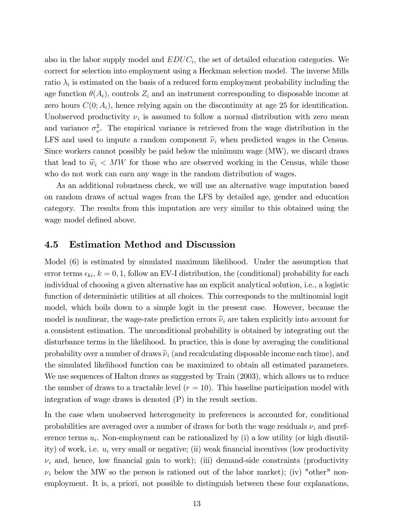also in the labor supply model and  $EDUC_i$ , the set of detailed education categories. We correct for selection into employment using a Heckman selection model. The inverse Mills ratio  $\lambda_i$  is estimated on the basis of a reduced form employment probability including the age function  $\theta(A_i)$ , controls  $Z_i$  and an instrument corresponding to disposable income at zero hours  $C(0; A_i)$ , hence relying again on the discontinuity at age 25 for identification. Unobserved productivity  $\nu_i$  is assumed to follow a normal distribution with zero mean and variance  $\sigma_{\nu}^2$ . The empirical variance is retrieved from the wage distribution in the LFS and used to impute a random component  $\tilde{\nu}_i$  when predicted wages in the Census. Since workers cannot possibly be paid below the minimum wage (MW), we discard draws that lead to  $\tilde{w}_i < MW$  for those who are observed working in the Census, while those who do not work can earn any wage in the random distribution of wages.

As an additional robustness check, we will use an alternative wage imputation based on random draws of actual wages from the LFS by detailed age, gender and education category. The results from this imputation are very similar to this obtained using the wage model defined above.

#### 4.5 Estimation Method and Discussion

Model (6) is estimated by simulated maximum likelihood. Under the assumption that error terms  $\epsilon_{ki}$ ,  $k = 0, 1$ , follow an EV-I distribution, the (conditional) probability for each individual of choosing a given alternative has an explicit analytical solution, i.e., a logistic function of deterministic utilities at all choices. This corresponds to the multinomial logit model, which boils down to a simple logit in the present case. However, because the model is nonlinear, the wage-rate prediction errors  $\tilde{\nu}_i$  are taken explicitly into account for a consistent estimation. The unconditional probability is obtained by integrating out the disturbance terms in the likelihood. In practice, this is done by averaging the conditional probability over a number of draws  $\tilde{\nu}_i$  (and recalculating disposable income each time), and the simulated likelihood function can be maximized to obtain all estimated parameters. We use sequences of Halton draws as suggested by Train (2003), which allows us to reduce the number of draws to a tractable level  $(r = 10)$ . This baseline participation model with integration of wage draws is denoted (P) in the result section.

In the case when unobserved heterogeneity in preferences is accounted for, conditional probabilities are averaged over a number of draws for both the wage residuals  $\nu_i$  and preference terms  $u_i$ . Non-employment can be rationalized by (i) a low utility (or high disutility) of work, i.e.  $u_i$  very small or negative; (ii) weak financial incentives (low productivity  $\nu_i$  and, hence, low financial gain to work); (iii) demand-side constraints (productivity  $\nu_i$  below the MW so the person is rationed out of the labor market); (iv) "other" nonemployment. It is, a priori, not possible to distinguish between these four explanations,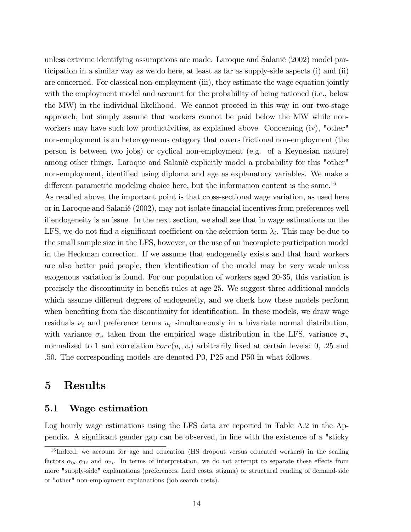unless extreme identifying assumptions are made. Laroque and Salanié (2002) model participation in a similar way as we do here, at least as far as supply-side aspects (i) and (ii) are concerned. For classical non-employment (iii), they estimate the wage equation jointly with the employment model and account for the probability of being rationed (i.e., below the MW) in the individual likelihood. We cannot proceed in this way in our two-stage approach, but simply assume that workers cannot be paid below the MW while nonworkers may have such low productivities, as explained above. Concerning (iv), "other" non-employment is an heterogeneous category that covers frictional non-employment (the person is between two jobs) or cyclical non-employment (e.g. of a Keynesian nature) among other things. Laroque and Salanié explicitly model a probability for this "other" non-employment, identified using diploma and age as explanatory variables. We make a different parametric modeling choice here, but the information content is the same.<sup>16</sup>

As recalled above, the important point is that cross-sectional wage variation, as used here or in Laroque and SalaniÈ (2002), may not isolate Önancial incentives from preferences well if endogeneity is an issue. In the next section, we shall see that in wage estimations on the LFS, we do not find a significant coefficient on the selection term  $\lambda_i$ . This may be due to the small sample size in the LFS, however, or the use of an incomplete participation model in the Heckman correction. If we assume that endogeneity exists and that hard workers are also better paid people, then identification of the model may be very weak unless exogenous variation is found. For our population of workers aged 20-35, this variation is precisely the discontinuity in benefit rules at age 25. We suggest three additional models which assume different degrees of endogeneity, and we check how these models perform when benefiting from the discontinuity for identification. In these models, we draw wage residuals  $\nu_i$  and preference terms  $u_i$  simultaneously in a bivariate normal distribution, with variance  $\sigma_v$  taken from the empirical wage distribution in the LFS, variance  $\sigma_u$ normalized to 1 and correlation  $corr(u_i, v_i)$  arbitrarily fixed at certain levels: 0, .25 and :50. The corresponding models are denoted P0, P25 and P50 in what follows.

### 5 Results

#### 5.1 Wage estimation

Log hourly wage estimations using the LFS data are reported in Table A.2 in the Appendix. A significant gender gap can be observed, in line with the existence of a "sticky"

<sup>&</sup>lt;sup>16</sup> Indeed, we account for age and education (HS dropout versus educated workers) in the scaling factors  $\alpha_{0i}, \alpha_{1i}$  and  $\alpha_{2i}$ . In terms of interpretation, we do not attempt to separate these effects from more "supply-side" explanations (preferences, fixed costs, stigma) or structural rending of demand-side or "other" non-employment explanations (job search costs).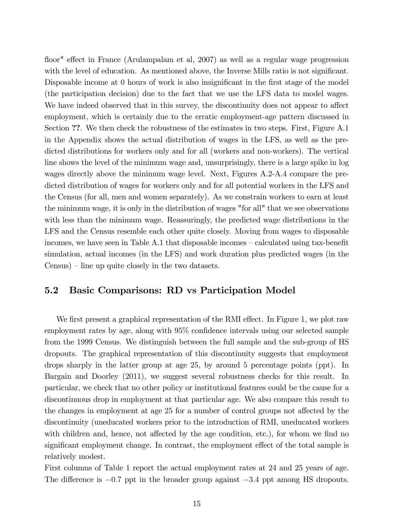floor" effect in France (Arulampalam et al, 2007) as well as a regular wage progression with the level of education. As mentioned above, the Inverse Mills ratio is not significant. Disposable income at 0 hours of work is also insignificant in the first stage of the model (the participation decision) due to the fact that we use the LFS data to model wages. We have indeed observed that in this survey, the discontinuity does not appear to affect employment, which is certainly due to the erratic employment-age pattern discussed in Section ??. We then check the robustness of the estimates in two steps. First, Figure A.1 in the Appendix shows the actual distribution of wages in the LFS, as well as the predicted distributions for workers only and for all (workers and non-workers). The vertical line shows the level of the minimum wage and, unsurprisingly, there is a large spike in log wages directly above the minimum wage level. Next, Figures A.2-A.4 compare the predicted distribution of wages for workers only and for all potential workers in the LFS and the Census (for all, men and women separately). As we constrain workers to earn at least the minimum wage, it is only in the distribution of wages "for all" that we see observations with less than the minimum wage. Reassuringly, the predicted wage distributions in the LFS and the Census resemble each other quite closely. Moving from wages to disposable incomes, we have seen in Table  $A.1$  that disposable incomes  $-\text{calculated}$  using tax-benefit simulation, actual incomes (in the LFS) and work duration plus predicted wages (in the  $Census$ ) – line up quite closely in the two datasets.

#### 5.2 Basic Comparisons: RD vs Participation Model

We first present a graphical representation of the RMI effect. In Figure 1, we plot raw employment rates by age, along with  $95\%$  confidence intervals using our selected sample from the 1999 Census. We distinguish between the full sample and the sub-group of HS dropouts. The graphical representation of this discontinuity suggests that employment drops sharply in the latter group at age 25, by around 5 percentage points (ppt). In Bargain and Doorley (2011), we suggest several robustness checks for this result. In particular, we check that no other policy or institutional features could be the cause for a discontinuous drop in employment at that particular age. We also compare this result to the changes in employment at age 25 for a number of control groups not affected by the discontinuity (uneducated workers prior to the introduction of RMI, uneducated workers with children and, hence, not affected by the age condition, etc.), for whom we find no significant employment change. In contrast, the employment effect of the total sample is relatively modest.

First columns of Table 1 report the actual employment rates at 24 and 25 years of age. The difference is  $-0.7$  ppt in the broader group against  $-3.4$  ppt among HS dropouts.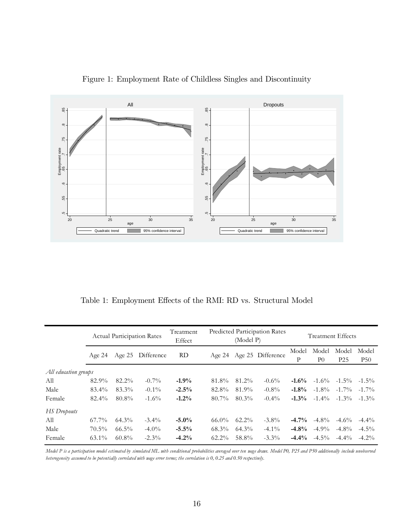

Figure 1: Employment Rate of Childless Singles and Discontinuity

Table 1: Employment Effects of the RMI: RD vs. Structural Model

|                      | <b>Actual Participation Rates</b> |                   | Predicted Participation Rates<br>Treatment<br>(Model P)<br>Effect |          |                          | <b>Treatment Effects</b> |          |            |                         |                          |                     |
|----------------------|-----------------------------------|-------------------|-------------------------------------------------------------------|----------|--------------------------|--------------------------|----------|------------|-------------------------|--------------------------|---------------------|
|                      | Age $24$                          | Age 25 Difference |                                                                   | RD       | Age 24 Age 25 Difference |                          |          | Model<br>P | Model<br>P <sub>0</sub> | Model<br>P <sub>25</sub> | Model<br><b>P50</b> |
| All education groups |                                   |                   |                                                                   |          |                          |                          |          |            |                         |                          |                     |
| All                  | 82.9%                             | 82.2%             | $-0.7\%$                                                          | $-1.9%$  | 81.8%                    | 81.2%                    | $-0.6\%$ | $-1.6\%$   | $-1.6\%$                | $-1.5\%$                 | $-1.5\%$            |
| Male                 | 83.4%                             | 83.3%             | $-0.1\%$                                                          | $-2.5%$  | 82.8%                    | 81.9%                    | $-0.8\%$ | $-1.8\%$   | $-1.8\%$                | $-1.7\%$                 | $-1.7\%$            |
| Female               | 82.4%                             | 80.8%             | $-1.6\%$                                                          | $-1.2\%$ | 80.7%                    | $80.3\%$                 | $-0.4\%$ | $-1.3\%$   | $-1.4\%$                | $-1.3\%$                 | $-1.3\%$            |
| <b>HS</b> Dropouts   |                                   |                   |                                                                   |          |                          |                          |          |            |                         |                          |                     |
| All                  | $67.7\%$                          | $64.3\%$          | $-3.4\%$                                                          | $-5.0\%$ | $66.0\%$                 | $62.2\%$                 | $-3.8\%$ | $-4.7\%$   | $-4.8\%$                | $-4.6\%$                 | $-4.4\%$            |
| Male                 | $70.5\%$                          | $66.5\%$          | $-4.0\%$                                                          | $-5.5%$  | 68.3%                    | $64.3\%$                 | $-4.1\%$ | $-4.8\%$   | $-4.9\%$                | $-4.8\%$                 | $-4.5\%$            |
| Female               | $63.1\%$                          | $60.8\%$          | $-2.3\%$                                                          | $-4.2%$  | $62.2\%$                 | 58.8%                    | $-3.3\%$ | $-4.4%$    | $-4.5\%$                | $-4.4\%$                 | $-4.2\%$            |

*Model P is a participation model estimated by simulated ML with conditional probabilities averaged over ten wage draws. Model P0, P25 and P50 additionally include unobserved heterogeneity assumed to be potentially correlated with wage error terms; the correlation is 0, 0.25 and 0.50 respectively.*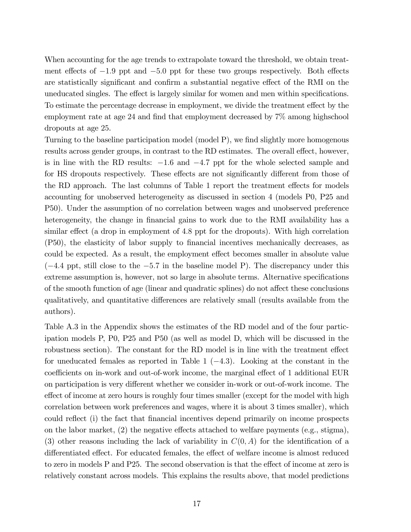When accounting for the age trends to extrapolate toward the threshold, we obtain treatment effects of  $-1.9$  ppt and  $-5.0$  ppt for these two groups respectively. Both effects are statistically significant and confirm a substantial negative effect of the RMI on the uneducated singles. The effect is largely similar for women and men within specifications. To estimate the percentage decrease in employment, we divide the treatment effect by the employment rate at age 24 and find that employment decreased by  $7\%$  among highschool dropouts at age 25.

Turning to the baseline participation model (model P), we find slightly more homogenous results across gender groups, in contrast to the RD estimates. The overall effect, however, is in line with the RD results:  $-1.6$  and  $-4.7$  ppt for the whole selected sample and for HS dropouts respectively. These effects are not significantly different from those of the RD approach. The last columns of Table 1 report the treatment effects for models accounting for unobserved heterogeneity as discussed in section 4 (models P0, P25 and P50). Under the assumption of no correlation between wages and unobserved preference heterogeneity, the change in financial gains to work due to the RMI availability has a similar effect (a drop in employment of 4.8 ppt for the dropouts). With high correlation (P50), the elasticity of labor supply to Önancial incentives mechanically decreases, as could be expected. As a result, the employment effect becomes smaller in absolute value  $(-4.4 \text{ ppt}, \text{still close to the } -5.7 \text{ in the baseline model P})$ . The discrepancy under this extreme assumption is, however, not so large in absolute terms. Alternative specifications of the smooth function of age (linear and quadratic splines) do not affect these conclusions qualitatively, and quantitative differences are relatively small (results available from the authors).

Table A.3 in the Appendix shows the estimates of the RD model and of the four participation models P, P0, P25 and P50 (as well as model D, which will be discussed in the robustness section). The constant for the RD model is in line with the treatment effect for uneducated females as reported in Table 1  $(-4.3)$ . Looking at the constant in the coefficients on in-work and out-of-work income, the marginal effect of 1 additional EUR on participation is very different whether we consider in-work or out-of-work income. The effect of income at zero hours is roughly four times smaller (except for the model with high correlation between work preferences and wages, where it is about 3 times smaller), which could reflect (i) the fact that financial incentives depend primarily on income prospects on the labor market,  $(2)$  the negative effects attached to welfare payments (e.g., stigma), (3) other reasons including the lack of variability in  $C(0, A)$  for the identification of a differentiated effect. For educated females, the effect of welfare income is almost reduced to zero in models P and P25. The second observation is that the effect of income at zero is relatively constant across models. This explains the results above, that model predictions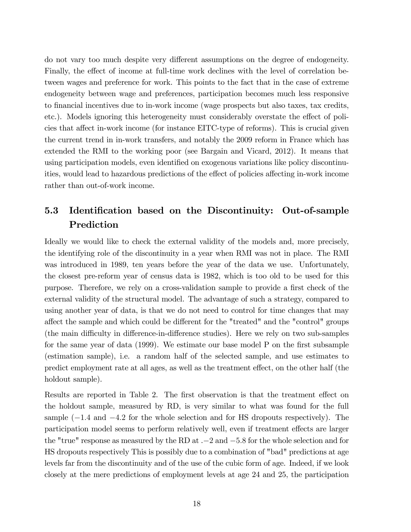do not vary too much despite very different assumptions on the degree of endogeneity. Finally, the effect of income at full-time work declines with the level of correlation between wages and preference for work. This points to the fact that in the case of extreme endogeneity between wage and preferences, participation becomes much less responsive to Önancial incentives due to in-work income (wage prospects but also taxes, tax credits, etc.). Models ignoring this heterogeneity must considerably overstate the effect of policies that affect in-work income (for instance EITC-type of reforms). This is crucial given the current trend in in-work transfers, and notably the 2009 reform in France which has extended the RMI to the working poor (see Bargain and Vicard, 2012). It means that using participation models, even identified on exogenous variations like policy discontinuities, would lead to hazardous predictions of the effect of policies affecting in-work income rather than out-of-work income.

### 5.3 Identification based on the Discontinuity: Out-of-sample Prediction

Ideally we would like to check the external validity of the models and, more precisely, the identifying role of the discontinuity in a year when RMI was not in place. The RMI was introduced in 1989, ten years before the year of the data we use. Unfortunately, the closest pre-reform year of census data is 1982, which is too old to be used for this purpose. Therefore, we rely on a cross-validation sample to provide a first check of the external validity of the structural model. The advantage of such a strategy, compared to using another year of data, is that we do not need to control for time changes that may affect the sample and which could be different for the "treated" and the "control" groups (the main difficulty in difference-in-difference studies). Here we rely on two sub-samples for the same year of data  $(1999)$ . We estimate our base model P on the first subsample (estimation sample), i.e. a random half of the selected sample, and use estimates to predict employment rate at all ages, as well as the treatment effect, on the other half (the holdout sample).

Results are reported in Table 2. The first observation is that the treatment effect on the holdout sample, measured by RD, is very similar to what was found for the full sample  $(-1.4$  and  $-4.2$  for the whole selection and for HS dropouts respectively). The participation model seems to perform relatively well, even if treatment effects are larger the "true" response as measured by the RD at  $-2$  and  $-5.8$  for the whole selection and for HS dropouts respectively This is possibly due to a combination of "bad" predictions at age levels far from the discontinuity and of the use of the cubic form of age. Indeed, if we look closely at the mere predictions of employment levels at age 24 and 25, the participation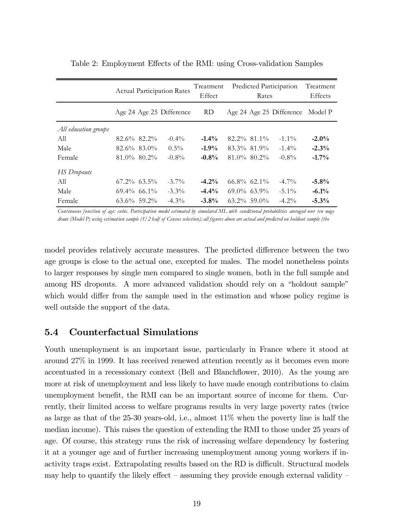|                      | <b>Actual Participation Rates</b> | Treatment<br>Effect | Predicted Participation | Treatment<br><b>Effects</b> |                |                          |          |
|----------------------|-----------------------------------|---------------------|-------------------------|-----------------------------|----------------|--------------------------|----------|
|                      | Age 24 Age 25 Difference          |                     | RD                      |                             |                | Age 24 Age 25 Difference | Model P  |
| All education groups |                                   |                     |                         |                             |                |                          |          |
| A11                  | 82.6% 82.2%                       | $-0.4\%$            | $-1.4\%$                | $82.2\%$ $81.1\%$           |                | $-1.1\%$                 | $-2.0\%$ |
| Male                 | $82.6\%$ $83.0\%$                 | $0.5\%$             | $-1.9\%$                | 83.3% 81.9%                 |                | $-1.4\%$                 | $-2.3%$  |
| Female               | $81.0\%$ $80.2\%$                 | $-0.8\%$            | $-0.8%$                 | $81.0\%$ $80.2\%$           |                | $-0.8\%$                 | $-1.7%$  |
| <b>HS</b> Dropouts   |                                   |                     |                         |                             |                |                          |          |
| A11                  | $67.2\%$ $63.5\%$                 | $-3.7\%$            | $-4.2%$                 | $66.8\%$ 62.1%              |                | $-4.7\%$                 | $-5.8%$  |
| Male                 | $69.4\%$ 66.1%                    | $-3.3\%$            | $-4.4%$                 | $69.0\%$ $63.9\%$           |                | $-5.1\%$                 | $-6.1\%$ |
| Female               | $63.6\%$ 59.2%                    | $-4.3\%$            | $-3.8\%$                |                             | $63.2\%$ 59.0% | $-4.2\%$                 | $-5.3\%$ |

Table 2: Employment Effects of the RMI: using Cross-validation Samples

*Continuous function of age: cubic. Participation model estimated by simulated ML with conditional probabilities averaged over ten wage draws (Model P) using estimation sample (1/2 half of Census selection); all figures above are actual and predicted on holdout sample (the*

model provides relatively accurate measures. The predicted difference between the two age groups is close to the actual one, excepted for males. The model nonetheless points to larger responses by single men compared to single women, both in the full sample and among HS dropouts. A more advanced validation should rely on a "holdout sample" which would differ from the sample used in the estimation and whose policy regime is well outside the support of the data.

#### 5.4 Counterfactual Simulations

Youth unemployment is an important issue, particularly in France where it stood at around 27% in 1999. It has received renewed attention recently as it becomes even more accentuated in a recessionary context (Bell and Blanchflower, 2010). As the young are more at risk of unemployment and less likely to have made enough contributions to claim unemployment benefit, the RMI can be an important source of income for them. Currently, their limited access to welfare programs results in very large poverty rates (twice as large as that of the  $25-30$  years-old, i.e., almost  $11\%$  when the poverty line is half the median income). This raises the question of extending the RMI to those under 25 years of age. Of course, this strategy runs the risk of increasing welfare dependency by fostering it at a younger age and of further increasing unemployment among young workers if inactivity traps exist. Extrapolating results based on the RD is difficult. Structural models may help to quantify the likely effect  $-$  assuming they provide enough external validity  $-$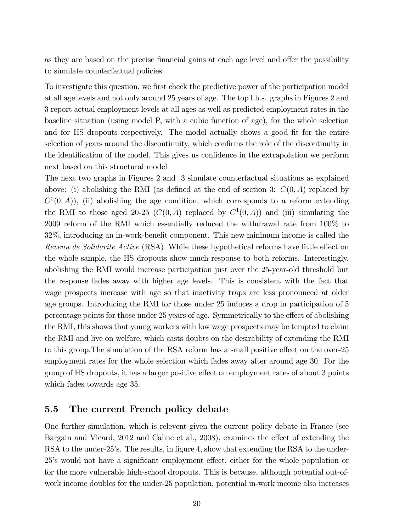as they are based on the precise financial gains at each age level and offer the possibility to simulate counterfactual policies.

To investigate this question, we first check the predictive power of the participation model at all age levels and not only around 25 years of age. The top l.h.s. graphs in Figures 2 and 3 report actual employment levels at all ages as well as predicted employment rates in the baseline situation (using model P, with a cubic function of age), for the whole selection and for HS dropouts respectively. The model actually shows a good fit for the entire selection of years around the discontinuity, which confirms the role of the discontinuity in the identification of the model. This gives us confidence in the extrapolation we perform next based on this structural model

The next two graphs in Figures 2 and 3 simulate counterfactual situations as explained above: (i) abolishing the RMI (as defined at the end of section 3:  $C(0, A)$  replaced by  $C^0(0, A)$ , (ii) abolishing the age condition, which corresponds to a reform extending the RMI to those aged 20-25  $(C(0, A)$  replaced by  $C^1(0, A)$  and (iii) simulating the 2009 reform of the RMI which essentially reduced the withdrawal rate from 100% to  $32\%$ , introducing an in-work-benefit component. This new minimum income is called the Revenu de Solidarite Active (RSA). While these hypothetical reforms have little effect on the whole sample, the HS dropouts show much response to both reforms. Interestingly, abolishing the RMI would increase participation just over the 25-year-old threshold but the response fades away with higher age levels. This is consistent with the fact that wage prospects increase with age so that inactivity traps are less pronounced at older age groups. Introducing the RMI for those under 25 induces a drop in participation of 5 percentage points for those under 25 years of age. Symmetrically to the effect of abolishing the RMI, this shows that young workers with low wage prospects may be tempted to claim the RMI and live on welfare, which casts doubts on the desirability of extending the RMI to this group. The simulation of the RSA reform has a small positive effect on the over-25 employment rates for the whole selection which fades away after around age 30. For the group of HS dropouts, it has a larger positive effect on employment rates of about 3 points which fades towards age 35.

#### 5.5 The current French policy debate

One further simulation, which is relevent given the current policy debate in France (see Bargain and Vicard, 2012 and Cahuc et al., 2008), examines the effect of extending the RSA to the under-25's. The results, in figure 4, show that extending the RSA to the under-25's would not have a significant employment effect, either for the whole population or for the more vulnerable high-school dropouts. This is because, although potential out-ofwork income doubles for the under-25 population, potential in-work income also increases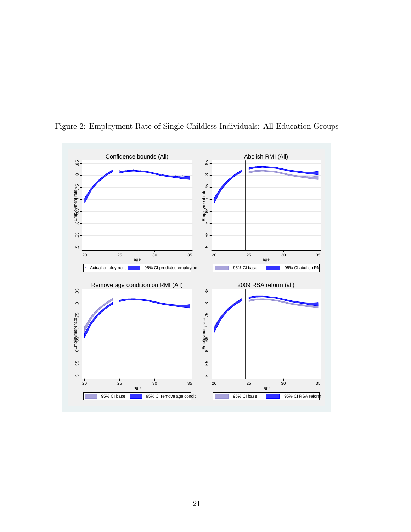

Figure 2: Employment Rate of Single Childless Individuals: All Education Groups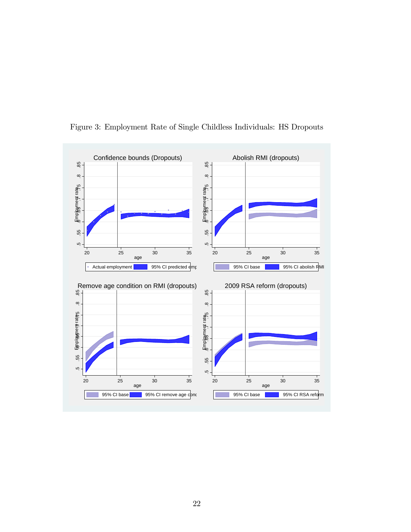

Figure 3: Employment Rate of Single Childless Individuals: HS Dropouts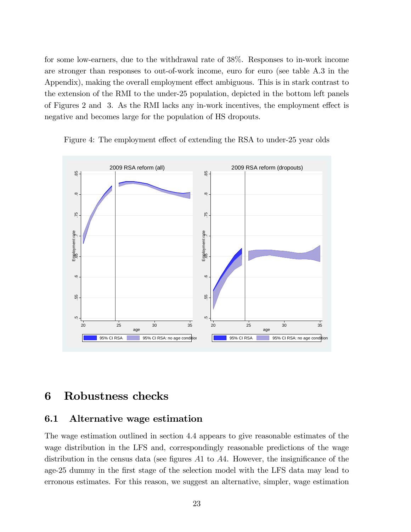for some low-earners, due to the withdrawal rate of 38%. Responses to in-work income are stronger than responses to out-of-work income, euro for euro (see table A.3 in the Appendix), making the overall employment effect ambiguous. This is in stark contrast to the extension of the RMI to the under-25 population, depicted in the bottom left panels of Figures 2 and 3. As the RMI lacks any in-work incentives, the employment effect is negative and becomes large for the population of HS dropouts.



Figure 4: The employment effect of extending the RSA to under-25 year olds

### 6 Robustness checks

#### 6.1 Alternative wage estimation

The wage estimation outlined in section 4.4 appears to give reasonable estimates of the wage distribution in the LFS and, correspondingly reasonable predictions of the wage distribution in the census data (see figures  $A1$  to  $A4$ . However, the insignificance of the age-25 dummy in the Örst stage of the selection model with the LFS data may lead to erronous estimates. For this reason, we suggest an alternative, simpler, wage estimation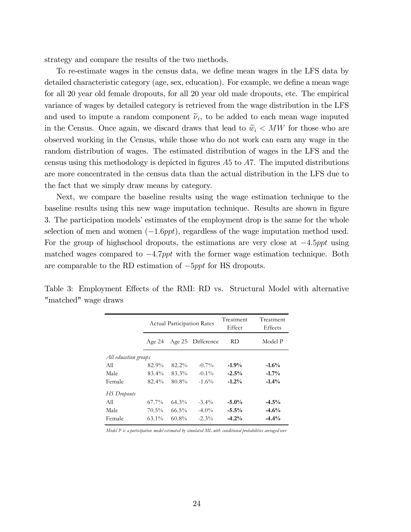strategy and compare the results of the two methods.

To re-estimate wages in the census data, we define mean wages in the LFS data by detailed characteristic category (age, sex, education). For example, we define a mean wage for all 20 year old female dropouts, for all 20 year old male dropouts, etc. The empirical variance of wages by detailed category is retrieved from the wage distribution in the LFS and used to impute a random component  $\tilde{\nu}_i$ , to be added to each mean wage imputed in the Census. Once again, we discard draws that lead to  $\tilde{w}_i < MW$  for those who are observed working in the Census, while those who do not work can earn any wage in the random distribution of wages. The estimated distribution of wages in the LFS and the census using this methodology is depicted in figures  $A5$  to  $A7$ . The imputed distributions are more concentrated in the census data than the actual distribution in the LFS due to the fact that we simply draw means by category.

Next, we compare the baseline results using the wage estimation technique to the baseline results using this new wage imputation technique. Results are shown in figure 3. The participation models' estimates of the employment drop is the same for the whole selection of men and women  $(-1.6ppt)$ , regardless of the wage imputation method used. For the group of highschool dropouts, the estimations are very close at  $-4.5$ ppt using matched wages compared to  $-4.7$ ppt with the former wage estimation technique. Both are comparable to the RD estimation of  $-5ppt$  for HS dropouts.

Table 3: Employment Effects of the RMI: RD vs. Structural Model with alternative "matched" wage draws

|                      |          |          | <b>Actual Participation Rates</b> | Treatment<br>Effect | Treatment<br>Effects |
|----------------------|----------|----------|-----------------------------------|---------------------|----------------------|
|                      | Age $24$ | Age $25$ | Difference                        | RD                  | Model P              |
| All education groups |          |          |                                   |                     |                      |
| All                  | 82.9%    | 82.2%    | $-0.7\%$                          | $-1.9\%$            | $-1.6%$              |
| Male                 | 83.4%    | 83.3%    | $-0.1\%$                          | $-2.5%$             | $-1.7\%$             |
| Female               | $82.4\%$ | 80.8%    | $-1.6%$                           | $-1.2\%$            | $-1.4%$              |
| <b>HS</b> Dropouts   |          |          |                                   |                     |                      |
| All                  | $67.7\%$ | $64.3\%$ | $-3.4\%$                          | $-5.0\%$            | $-4.5%$              |
| Male                 | $70.5\%$ | $66.5\%$ | $-4.0\%$                          | $-5.5%$             | $-4.6%$              |
| Female               | $63.1\%$ | $60.8\%$ | $-2.3\%$                          | $-4.2%$             | $-4.4%$              |

*Model P is a participation model estimated by simulated ML with conditional probabilities averaged over*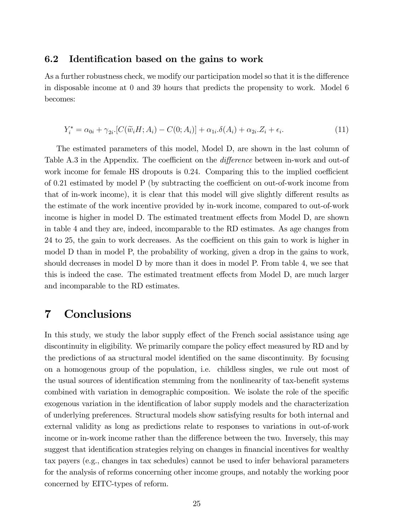#### 6.2 Identification based on the gains to work

As a further robustness check, we modify our participation model so that it is the difference in disposable income at 0 and 39 hours that predicts the propensity to work. Model 6 becomes:

$$
Y_i^* = \alpha_{0i} + \gamma_{2i} \cdot [C(\widetilde{w}_i H; A_i) - C(0; A_i)] + \alpha_{1i} \cdot \delta(A_i) + \alpha_{2i} \cdot Z_i + \epsilon_i.
$$
\n
$$
(11)
$$

The estimated parameters of this model, Model D, are shown in the last column of Table A.3 in the Appendix. The coefficient on the *difference* between in-work and out-of work income for female HS dropouts is  $0.24$ . Comparing this to the implied coefficient of  $0.21$  estimated by model P (by subtracting the coefficient on out-of-work income from that of in-work income), it is clear that this model will give slightly different results as the estimate of the work incentive provided by in-work income, compared to out-of-work income is higher in model D. The estimated treatment effects from Model D, are shown in table 4 and they are, indeed, incomparable to the RD estimates. As age changes from 24 to 25, the gain to work decreases. As the coefficient on this gain to work is higher in model D than in model P, the probability of working, given a drop in the gains to work, should decreases in model D by more than it does in model P. From table 4, we see that this is indeed the case. The estimated treatment effects from Model D, are much larger and incomparable to the RD estimates.

### 7 Conclusions

In this study, we study the labor supply effect of the French social assistance using age discontinuity in eligibility. We primarily compare the policy effect measured by RD and by the predictions of aa structural model identified on the same discontinuity. By focusing on a homogenous group of the population, i.e. childless singles, we rule out most of the usual sources of identification stemming from the nonlinearity of tax-benefit systems combined with variation in demographic composition. We isolate the role of the specific exogenous variation in the identification of labor supply models and the characterization of underlying preferences. Structural models show satisfying results for both internal and external validity as long as predictions relate to responses to variations in out-of-work income or in-work income rather than the difference between the two. Inversely, this may suggest that identification strategies relying on changes in financial incentives for wealthy tax payers (e.g., changes in tax schedules) cannot be used to infer behavioral parameters for the analysis of reforms concerning other income groups, and notably the working poor concerned by EITC-types of reform.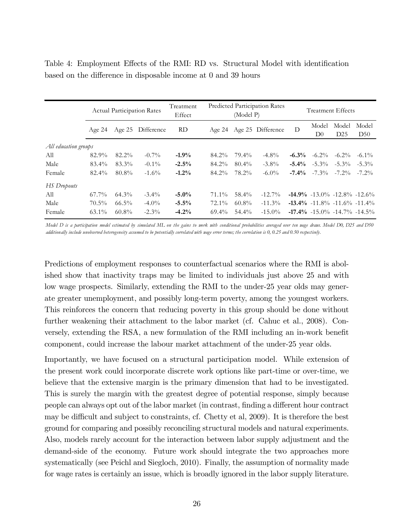|                      |          | <b>Actual Participation Rates</b> |                   | Predicted Participation Rates<br>Treatment<br>(Model P)<br>Effect |          |          |                          |          | <b>Treatment Effects</b>                |              |              |  |
|----------------------|----------|-----------------------------------|-------------------|-------------------------------------------------------------------|----------|----------|--------------------------|----------|-----------------------------------------|--------------|--------------|--|
|                      | Age $24$ |                                   | Age 25 Difference | RD.                                                               |          |          | Age 24 Age 25 Difference | D        | Model<br>D <sub>0</sub>                 | Model<br>D25 | Model<br>D50 |  |
| All education groups |          |                                   |                   |                                                                   |          |          |                          |          |                                         |              |              |  |
| All                  | 82.9%    | 82.2%                             | $-0.7\%$          | $-1.9\%$                                                          | 84.2%    | 79.4%    | $-4.8\%$                 | $-6.3\%$ | $-6.2\%$                                | $-6.2\%$     | $-6.1\%$     |  |
| Male                 | 83.4%    | 83.3%                             | $-0.1\%$          | $-2.5\%$                                                          | 84.2%    | $80.4\%$ | $-3.8\%$                 |          | $-5.4\%$ $-5.3\%$ $-5.3\%$              |              | $-5.3\%$     |  |
| Female               | 82.4%    | 80.8%                             | $-1.6\%$          | $-1.2\%$                                                          | 84.2%    | 78.2%    | $-6.0\%$                 |          | $-7.4\%$ $-7.3\%$ $-7.2\%$ $-7.2\%$     |              |              |  |
| HS Dropouts          |          |                                   |                   |                                                                   |          |          |                          |          |                                         |              |              |  |
| All                  | $67.7\%$ | 64.3%                             | $-3.4\%$          | $-5.0\%$                                                          | 71.1%    | 58.4%    | $-12.7\%$                |          | $-14.9\%$ $-13.0\%$ $-12.8\%$ $-12.6\%$ |              |              |  |
| Male                 | 70.5%    | $66.5\%$                          | $-4.0\%$          | $-5.5\%$                                                          | 72.1%    | $60.8\%$ | $-11.3\%$                |          | $-13.4\%$ $-11.8\%$ $-11.6\%$ $-11.4\%$ |              |              |  |
| Female               | $63.1\%$ | $60.8\%$                          | $-2.3\%$          | $-4.2%$                                                           | $69.4\%$ | 54.4%    | $-15.0\%$                |          | $-17.4\%$ $-15.0\%$ $-14.7\%$ $-14.5\%$ |              |              |  |
|                      |          |                                   |                   |                                                                   |          |          |                          |          |                                         |              |              |  |

Table 4: Employment Effects of the RMI: RD vs. Structural Model with identification based on the difference in disposable income at 0 and 39 hours

*Model D is a participation model estimated by simulated ML on the gains to work with conditional probabilities averaged over ten wage draws. Model D0, D25 and D50 additionally include unobserved heterogeneity assumed to be potentially correlated with wage error terms; the correlation is 0, 0.25 and 0.50 respectively.*

Predictions of employment responses to counterfactual scenarios where the RMI is abolished show that inactivity traps may be limited to individuals just above 25 and with low wage prospects. Similarly, extending the RMI to the under-25 year olds may generate greater unemployment, and possibly long-term poverty, among the youngest workers. This reinforces the concern that reducing poverty in this group should be done without further weakening their attachment to the labor market (cf. Cahuc et al., 2008). Conversely, extending the RSA, a new formulation of the RMI including an in-work benefit component, could increase the labour market attachment of the under-25 year olds.

Importantly, we have focused on a structural participation model. While extension of the present work could incorporate discrete work options like part-time or over-time, we believe that the extensive margin is the primary dimension that had to be investigated. This is surely the margin with the greatest degree of potential response, simply because people can always opt out of the labor market (in contrast, finding a different hour contract may be difficult and subject to constraints, cf. Chetty et al, 2009). It is therefore the best ground for comparing and possibly reconciling structural models and natural experiments. Also, models rarely account for the interaction between labor supply adjustment and the demand-side of the economy. Future work should integrate the two approaches more systematically (see Peichl and Siegloch, 2010). Finally, the assumption of normality made for wage rates is certainly an issue, which is broadly ignored in the labor supply literature.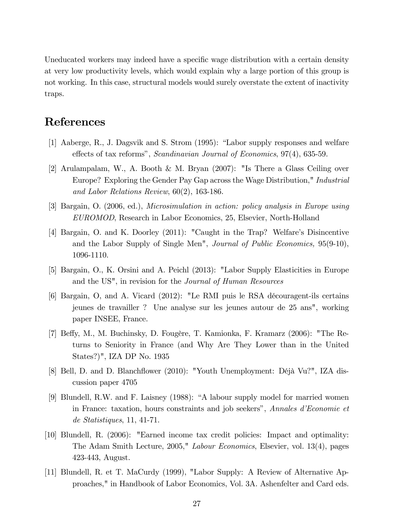Uneducated workers may indeed have a specific wage distribution with a certain density at very low productivity levels, which would explain why a large portion of this group is not working. In this case, structural models would surely overstate the extent of inactivity traps.

## References

- [1] Aaberge, R., J. Dagsvik and S. Strom  $(1995)$ : "Labor supply responses and welfare effects of tax reforms", Scandinavian Journal of Economics, 97(4), 635-59.
- [2] Arulampalam, W., A. Booth & M. Bryan (2007): "Is There a Glass Ceiling over Europe? Exploring the Gender Pay Gap across the Wage Distribution," Industrial and Labor Relations Review, 60(2), 163-186.
- [3] Bargain, O. (2006, ed.), Microsimulation in action: policy analysis in Europe using EUROMOD, Research in Labor Economics, 25, Elsevier, North-Holland
- [4] Bargain, O. and K. Doorley (2011): "Caught in the Trap? Welfareís Disincentive and the Labor Supply of Single Men", Journal of Public Economics, 95(9-10), 1096-1110.
- [5] Bargain, O., K. Orsini and A. Peichl (2013): "Labor Supply Elasticities in Europe and the US", in revision for the Journal of Human Resources
- [6] Bargain, O, and A. Vicard (2012): "Le RMI puis le RSA découragent-ils certains jeunes de travailler ? Une analyse sur les jeunes autour de 25 ans", working paper INSEE, France.
- [7] Beffy, M., M. Buchinsky, D. Fougère, T. Kamionka, F. Kramarz (2006): "The Returns to Seniority in France (and Why Are They Lower than in the United States?)", IZA DP No. 1935
- [8] Bell, D. and D. Blanchflower (2010): "Youth Unemployment: Déjà Vu?", IZA discussion paper 4705
- [9] Blundell, R.W. and F. Laisney (1988): "A labour supply model for married women in France: taxation, hours constraints and job seekers", Annales d'Economie et de Statistiques, 11, 41-71.
- [10] Blundell, R. (2006): "Earned income tax credit policies: Impact and optimality: The Adam Smith Lecture, 2005," Labour Economics, Elsevier, vol. 13(4), pages 423-443, August.
- [11] Blundell, R. et T. MaCurdy (1999), "Labor Supply: A Review of Alternative Approaches," in Handbook of Labor Economics, Vol. 3A. Ashenfelter and Card eds.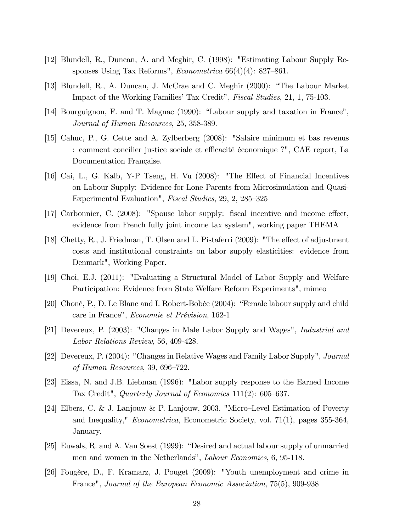- [12] Blundell, R., Duncan, A. and Meghir, C. (1998): "Estimating Labour Supply Responses Using Tax Reforms", *Econometrica*  $66(4)(4)$ : 827–861.
- [13] Blundell, R., A. Duncan, J. McCrae and C. Meghir (2000): "The Labour Market Impact of the Working Families' Tax Credit", *Fiscal Studies*, 21, 1, 75-103.
- [14] Bourguignon, F. and T. Magnac  $(1990)$ : "Labour supply and taxation in France", Journal of Human Resources, 25, 358-389.
- [15] Cahuc, P., G. Cette and A. Zylberberg (2008): "Salaire minimum et bas revenus : comment concilier justice sociale et efficacité économique ?", CAE report, La Documentation Française.
- [16] Cai, L., G. Kalb, Y-P Tseng, H. Vu (2008): "The Effect of Financial Incentives on Labour Supply: Evidence for Lone Parents from Microsimulation and Quasi-Experimental Evaluation", Fiscal Studies, 29, 2, 285-325
- [17] Carbonnier, C.  $(2008)$ : "Spouse labor supply: fiscal incentive and income effect, evidence from French fully joint income tax system", working paper THEMA
- [18] Chetty, R., J. Friedman, T. Olsen and L. Pistaferri (2009): "The effect of adjustment costs and institutional constraints on labor supply elasticities: evidence from Denmark", Working Paper.
- [19] Choi, E.J. (2011): "Evaluating a Structural Model of Labor Supply and Welfare Participation: Evidence from State Welfare Reform Experiments", mimeo
- [20] Choné, P., D. Le Blanc and I. Robert-Bobée (2004): "Female labour supply and child care in France", Economie et Prévision, 162-1
- [21] Devereux, P. (2003): "Changes in Male Labor Supply and Wages", Industrial and Labor Relations Review, 56, 409-428.
- [22] Devereux, P. (2004): "Changes in Relative Wages and Family Labor Supply", Journal of Human Resources, 39, 696–722.
- [23] Eissa, N. and J.B. Liebman (1996): "Labor supply response to the Earned Income Tax Credit", Quarterly Journal of Economics  $111(2)$ : 605–637.
- [24] Elbers, C. & J. Lanjouw & P. Lanjouw, 2003. "Micro-Level Estimation of Poverty and Inequality," Econometrica, Econometric Society, vol. 71(1), pages 355-364, January.
- [25] Euwals, R. and A. Van Soest (1999): "Desired and actual labour supply of unmarried men and women in the Netherlands", Labour Economics, 6, 95-118.
- [26] Fougère, D., F. Kramarz, J. Pouget (2009): "Youth unemployment and crime in France", Journal of the European Economic Association, 75(5), 909-938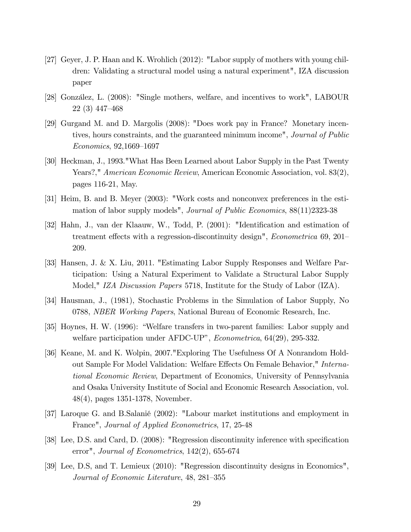- [27] Geyer, J. P. Haan and K. Wrohlich (2012): "Labor supply of mothers with young children: Validating a structural model using a natural experiment", IZA discussion paper
- [28] González, L. (2008): "Single mothers, welfare, and incentives to work", LABOUR  $22(3)$  447–468
- [29] Gurgand M. and D. Margolis (2008): "Does work pay in France? Monetary incentives, hours constraints, and the guaranteed minimum income", *Journal of Public*  $Economics, 92,1669-1697$
- [30] Heckman, J., 1993."What Has Been Learned about Labor Supply in the Past Twenty Years?," American Economic Review, American Economic Association, vol. 83(2), pages 116-21, May.
- [31] Heim, B. and B. Meyer (2003): "Work costs and nonconvex preferences in the estimation of labor supply models", Journal of Public Economics, 88(11)2323-38
- [32] Hahn, J., van der Klaauw, W., Todd, P. (2001): "Identification and estimation of treatment effects with a regression-discontinuity design", *Econometrica* 69, 201– 209.
- [33] Hansen, J. & X. Liu, 2011. "Estimating Labor Supply Responses and Welfare Participation: Using a Natural Experiment to Validate a Structural Labor Supply Model," IZA Discussion Papers 5718, Institute for the Study of Labor (IZA).
- [34] Hausman, J., (1981), Stochastic Problems in the Simulation of Labor Supply, No 0788, NBER Working Papers, National Bureau of Economic Research, Inc.
- [35] Hoynes, H. W. (1996): "Welfare transfers in two-parent families: Labor supply and welfare participation under AFDC-UP",  $Econometrica$ , 64(29), 295-332.
- [36] Keane, M. and K. Wolpin, 2007."Exploring The Usefulness Of A Nonrandom Holdout Sample For Model Validation: Welfare Effects On Female Behavior," International Economic Review, Department of Economics, University of Pennsylvania and Osaka University Institute of Social and Economic Research Association, vol. 48(4), pages 1351-1378, November.
- [37] Laroque G. and B.Salanié (2002): "Labour market institutions and employment in France", Journal of Applied Econometrics, 17, 25-48
- [38] Lee, D.S. and Card, D. (2008): "Regression discontinuity inference with specification error", Journal of Econometrics, 142(2), 655-674
- [39] Lee, D.S, and T. Lemieux (2010): "Regression discontinuity designs in Economics", Journal of Economic Literature, 48, 281–355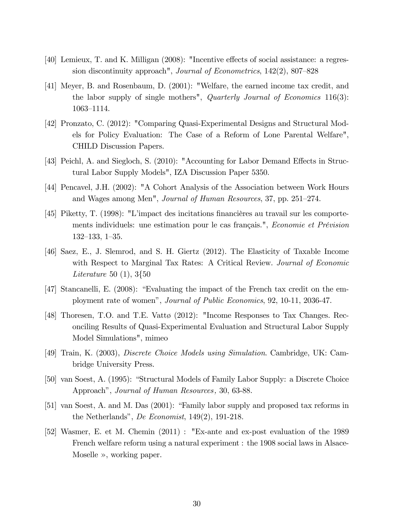- $[40]$  Lemieux, T. and K. Milligan  $(2008)$ : "Incentive effects of social assistance: a regression discontinuity approach", Journal of Econometrics,  $142(2)$ ,  $807-828$
- [41] Meyer, B. and Rosenbaum, D. (2001): "Welfare, the earned income tax credit, and the labor supply of single mothers", *Quarterly Journal of Economics* 116(3): 1063-1114.
- [42] Pronzato, C. (2012): "Comparing Quasi-Experimental Designs and Structural Models for Policy Evaluation: The Case of a Reform of Lone Parental Welfare", CHILD Discussion Papers.
- [43] Peichl, A. and Siegloch, S. (2010): "Accounting for Labor Demand Effects in Structural Labor Supply Models", IZA Discussion Paper 5350.
- [44] Pencavel, J.H. (2002): "A Cohort Analysis of the Association between Work Hours and Wages among Men", Journal of Human Resources, 37, pp. 251-274.
- [45] Piketty, T. (1998): "L'impact des incitations financières au travail sur les comportements individuels: une estimation pour le cas français.", Economie et Prévision  $132-133$ ,  $1-35$ .
- [46] Saez, E., J. Slemrod, and S. H. Giertz (2012). The Elasticity of Taxable Income with Respect to Marginal Tax Rates: A Critical Review. Journal of Economic Literature 50 (1), 3{50
- [47] Stancanelli, E.  $(2008)$ : "Evaluating the impact of the French tax credit on the employment rate of womenî, Journal of Public Economics, 92, 10-11, 2036-47.
- [48] Thoresen, T.O. and T.E. Vatt $\varphi$  (2012): "Income Responses to Tax Changes. Reconciling Results of Quasi-Experimental Evaluation and Structural Labor Supply Model Simulations", mimeo
- [49] Train, K. (2003), Discrete Choice Models using Simulation. Cambridge, UK: Cambridge University Press.
- [50] van Soest, A. (1995): "Structural Models of Family Labor Supply: a Discrete Choice Approach", Journal of Human Resources, 30, 63-88.
- $[51]$  van Soest, A. and M. Das  $(2001)$ : "Family labor supply and proposed tax reforms in the Netherlands", De Economist,  $149(2)$ , 191-218.
- [52] Wasmer, E. et M. Chemin (2011) : "Ex-ante and ex-post evaluation of the 1989 French welfare reform using a natural experiment : the 1908 social laws in Alsace-Moselle  $\gg$ , working paper.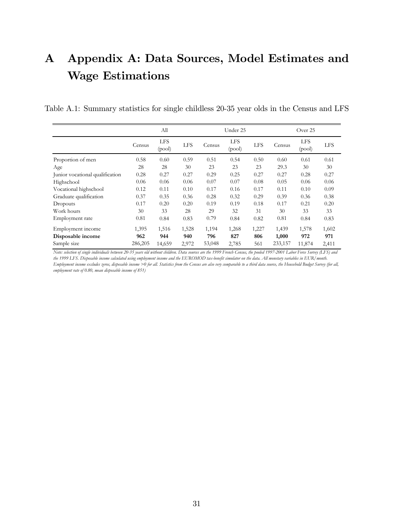## A Appendix A: Data Sources, Model Estimates and Wage Estimations

|  |  | Table A.1: Summary statistics for single childless 20-35 year olds in the Census and LFS |
|--|--|------------------------------------------------------------------------------------------|
|  |  |                                                                                          |

|                                 |         | All                  |            |        | Under 25      |            | Over 25 |                      |            |  |
|---------------------------------|---------|----------------------|------------|--------|---------------|------------|---------|----------------------|------------|--|
|                                 | Census  | <b>LFS</b><br>(pool) | <b>LFS</b> | Census | LFS<br>(pool) | <b>LFS</b> | Census  | <b>LFS</b><br>(pool) | <b>LFS</b> |  |
| Proportion of men               | 0.58    | 0.60                 | 0.59       | 0.51   | 0.54          | 0.50       | 0.60    | 0.61                 | 0.61       |  |
| Age                             | 28      | 28                   | 30         | 23     | 23            | 23         | 29.3    | 30                   | 30         |  |
| Junior vocational qualification | 0.28    | 0.27                 | 0.27       | 0.29   | 0.25          | 0.27       | 0.27    | 0.28                 | 0.27       |  |
| Highschool                      | 0.06    | 0.06                 | 0.06       | 0.07   | 0.07          | 0.08       | 0.05    | 0.06                 | 0.06       |  |
| Vocational highschool           | 0.12    | 0.11                 | 0.10       | 0.17   | 0.16          | 0.17       | 0.11    | 0.10                 | 0.09       |  |
| Graduate qualification          | 0.37    | 0.35                 | 0.36       | 0.28   | 0.32          | 0.29       | 0.39    | 0.36                 | 0.38       |  |
| Dropouts                        | 0.17    | 0.20                 | 0.20       | 0.19   | 0.19          | 0.18       | 0.17    | 0.21                 | 0.20       |  |
| Work hours                      | 30      | 33                   | 28         | 29     | 32            | 31         | 30      | 33                   | 33         |  |
| Employment rate                 | 0.81    | 0.84                 | 0.83       | 0.79   | 0.84          | 0.82       | 0.81    | 0.84                 | 0.83       |  |
| Employment income               | 1,395   | 1,516                | 1,528      | 1,194  | 1,268         | 1,227      | 1,439   | 1,578                | 1,602      |  |
| Disposable income               | 962     | 944                  | 940        | 796    | 827           | 806        | 1,000   | 972                  | 971        |  |
| Sample size                     | 286,205 | 14,659               | 2,972      | 53,048 | 2,785         | 561        | 233,157 | 11,874               | 2,411      |  |

*Note: selection of single individuals between 20-35 years old without children. Data sources are the 1999 French Census, the pooled 1997-2001 Labor Force Survey (LFS) and the 1999 LFS. Disposable income calculated using employment income and the EUROMOD tax-benefit simulator on the data. All monetary variables in EUR/month. Employment income excludes zeros, disposable income >0 for all. Statistics from the Census are also very comparable to a third data source, the Household Budget Survey (for all, employment rate of 0.80, mean disposable income of 851)*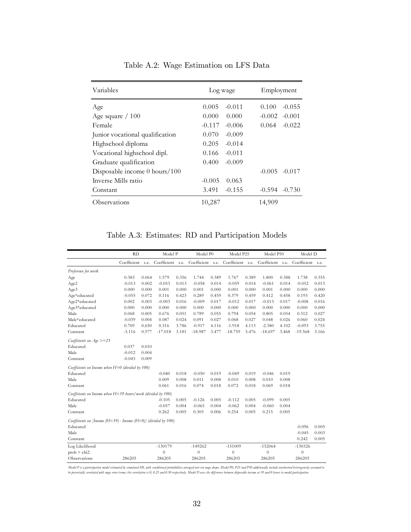| Variables                          | Log wage             | Employment           |  |  |  |
|------------------------------------|----------------------|----------------------|--|--|--|
| Age                                | 0.005<br>$-0.011$    | 0.100<br>$-0.055$    |  |  |  |
| Age square $/ 100$                 | 0.000<br>0.000       | $-0.002$<br>$-0.001$ |  |  |  |
| Female                             | $-0.117$<br>$-0.006$ | 0.064<br>$-0.022$    |  |  |  |
| Junior vocational qualification    | $-0.009$<br>0.070    |                      |  |  |  |
| Highschool diploma                 | 0.205<br>$-0.014$    |                      |  |  |  |
| Vocational highschool dipl.        | $-0.011$<br>0.166    |                      |  |  |  |
| Graduate qualification             | 0.400<br>$-0.009$    |                      |  |  |  |
| Disposable income $0$ hours/ $100$ |                      | $-0.005$<br>$-0.017$ |  |  |  |
| Inverse Mills ratio                | 0.063<br>$-0.005$    |                      |  |  |  |
| Constant                           | 3.491<br>$-0.155$    | $-0.594$<br>$-0.730$ |  |  |  |
| Observations                       | 10,287               | 14,909               |  |  |  |

Table A.2: Wage Estimation on LFS Data

Table A.3: Estimates: RD and Participation Models

|                                                                 | RD          |       | Model P          |       | Model P0         |       | Model P25        |       | Model P50        |       | Model D          |       |
|-----------------------------------------------------------------|-------------|-------|------------------|-------|------------------|-------|------------------|-------|------------------|-------|------------------|-------|
|                                                                 | Coefficient | s.e.  | Coefficient s.e. |       | Coefficient s.e. |       | Coefficient s.e. |       | Coefficient s.e. |       | Coefficient s.e. |       |
| Preference for work                                             |             |       |                  |       |                  |       |                  |       |                  |       |                  |       |
| Age                                                             | 0.383       | 0.064 | 1.579            | 0.356 | 1.744            | 0.389 | 1.767            | 0.389 | 1.800            | 0.388 | 1.738            | 0.355 |
| Age2                                                            | $-0.013$    | 0.002 | $-0.053$         | 0.013 | $-0.058$         | 0.014 | $-0.059$         | 0.014 | $-0.061$         | 0.014 | $-0.052$         | 0.013 |
| Age3                                                            | 0.000       | 0.000 | 0.001            | 0.000 | 0.001            | 0.000 | 0.001            | 0.000 | 0.001            | 0.000 | 0.000            | 0.000 |
| Age*educated                                                    | $-0.055$    | 0.072 | 0.116            | 0.423 | 0.289            | 0.459 | 0.379            | 0.459 | 0.412            | 0.458 | 0.193            | 0.420 |
| Age2*educated                                                   | 0.002       | 0.003 | $-0.003$         | 0.016 | $-0.009$         | 0.017 | $-0.012$         | 0.017 | $-0.013$         | 0.017 | $-0.008$         | 0.016 |
| Age3*educated                                                   | 0.000       | 0.000 | 0.000            | 0.000 | 0.000            | 0.000 | 0.000            | 0.000 | 0.000            | 0.000 | 0.000            | 0.000 |
| Male                                                            | 0.068       | 0.005 | 0.676            | 0.051 | 0.789            | 0.055 | 0.794            | 0.054 | 0.805            | 0.054 | 0.312            | 0.027 |
| Male*educated                                                   | $-0.039$    | 0.004 | 0.087            | 0.024 | 0.091            | 0.027 | 0.068            | 0.027 | 0.048            | 0.026 | 0.060            | 0.024 |
| Educated                                                        | 0.709       | 0.650 | 0.316            | 3.786 | $-0.917$         | 4.116 | $-1.918$         | 4.113 | $-2.380$         | 4.102 | $-0.093$         | 3.755 |
| Constant                                                        | $-3.116$    | 0.577 | $-17.018$        | 3.181 | $-18.987$        | 3.477 | $-18.759$        | 3.476 | $-18.697$        | 3.468 | $-19.568$        | 3.166 |
| Coefficients on Age >=25                                        |             |       |                  |       |                  |       |                  |       |                  |       |                  |       |
| Educated                                                        | 0.037       | 0.010 |                  |       |                  |       |                  |       |                  |       |                  |       |
| Male                                                            | $-0.012$    | 0.004 |                  |       |                  |       |                  |       |                  |       |                  |       |
| Constant                                                        | $-0.043$    | 0.009 |                  |       |                  |       |                  |       |                  |       |                  |       |
| Coefficients on Income when $H=0$ (divided by 100)              |             |       |                  |       |                  |       |                  |       |                  |       |                  |       |
| Educated                                                        |             |       | $-0.040$         | 0.018 | $-0.050$         | 0.019 | $-0.049$         | 0.019 | $-0.046$         | 0.019 |                  |       |
| Male                                                            |             |       | 0.009            | 0.008 | 0.011            | 0.008 | 0.010            | 0.008 | 0.010            | 0.008 |                  |       |
| Constant                                                        |             |       | 0.061            | 0.016 | 0.074            | 0.018 | 0.072            | 0.018 | 0.069            | 0.018 |                  |       |
| Coefficients on Income when $H=39$ hours/week (divided by 100)  |             |       |                  |       |                  |       |                  |       |                  |       |                  |       |
| Educated                                                        |             |       | $-0.105$         | 0.005 | $-0.126$         | 0.005 | $-0.112$         | 0.005 | $-0.099$         | 0.005 |                  |       |
| Male                                                            |             |       | $-0.057$         | 0.004 | $-0.065$         | 0.004 | $-0.062$         | 0.004 | $-0.060$         | 0.004 |                  |       |
| Constant                                                        |             |       | 0.262            | 0.005 | 0.305            | 0.006 | 0.254            | 0.005 | 0.215            | 0.005 |                  |       |
| Coefficients on $[Income(H=39) - Income(H=0)]$ (divided by 100) |             |       |                  |       |                  |       |                  |       |                  |       |                  |       |
| Educated                                                        |             |       |                  |       |                  |       |                  |       |                  |       | $-0.096$         | 0.005 |
| Male                                                            |             |       |                  |       |                  |       |                  |       |                  |       | $-0.045$         | 0.003 |
| Constant                                                        |             |       |                  |       |                  |       |                  |       |                  |       | 0.242            | 0.005 |
| Log Likelihood                                                  |             |       | $-130179$        |       | $-149262$        |       | $-151009$        |       | $-152064$        |       | $-130326$        |       |
| prob > chi2                                                     |             |       | $\boldsymbol{0}$ |       | $\theta$         |       | $\theta$         |       | $\boldsymbol{0}$ |       | $\boldsymbol{0}$ |       |
| Observations                                                    | 286205      |       | 286205           |       | 286205           |       | 286205           |       | 286205           |       | 286205           |       |

Model P is a participation model estimated by simulated ML with conditional probabilities averaged over ten nuge drans. Model P0, P25 and P50 additionally include unobserved beterogeneity assumed to<br>be potentially correlat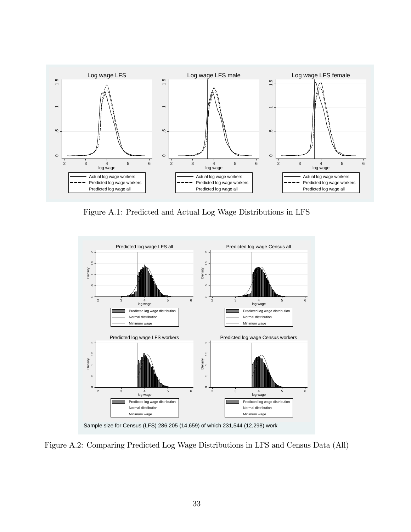

Figure A.1: Predicted and Actual Log Wage Distributions in LFS



Figure A.2: Comparing Predicted Log Wage Distributions in LFS and Census Data (All)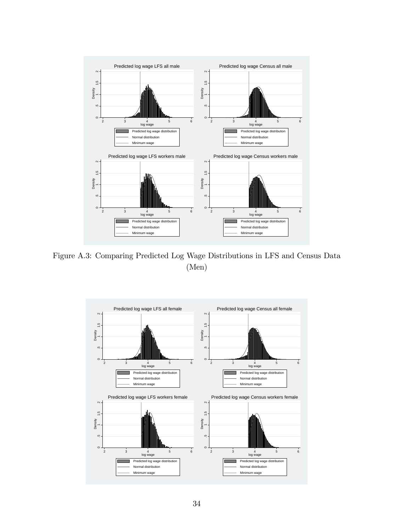

Figure A.3: Comparing Predicted Log Wage Distributions in LFS and Census Data (Men)

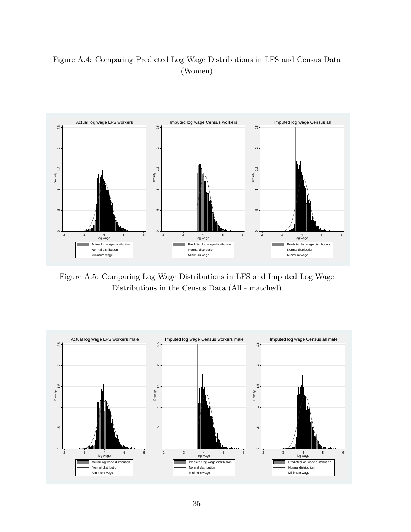### Figure A.4: Comparing Predicted Log Wage Distributions in LFS and Census Data (Women)



Figure A.5: Comparing Log Wage Distributions in LFS and Imputed Log Wage Distributions in the Census Data (All - matched)